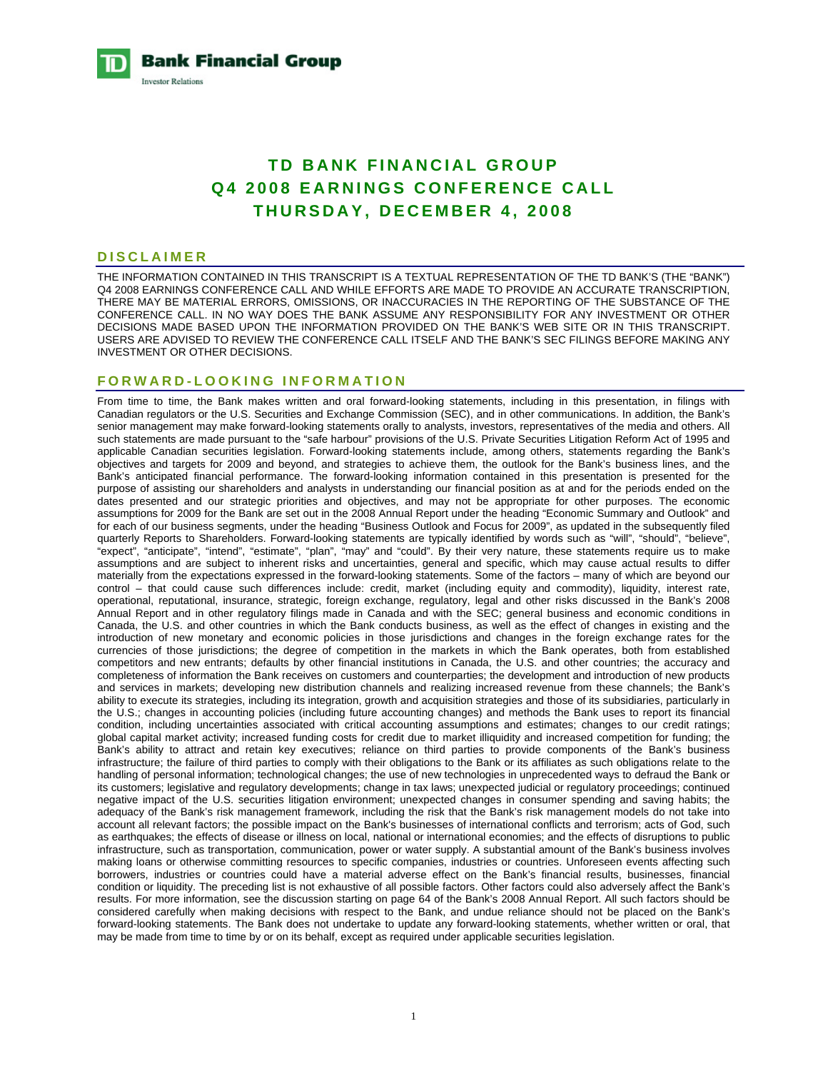**Bank Financial Group Investor Relations** 

# **TD BANK FINANCIAL GROUP Q4 2008 EARNINGS CONFERENCE CALL THURSDAY, DECEMBER 4, 2008**

#### **DISCLAIMER**

THE INFORMATION CONTAINED IN THIS TRANSCRIPT IS A TEXTUAL REPRESENTATION OF THE TD BANK'S (THE "BANK") Q4 2008 EARNINGS CONFERENCE CALL AND WHILE EFFORTS ARE MADE TO PROVIDE AN ACCURATE TRANSCRIPTION, THERE MAY BE MATERIAL ERRORS, OMISSIONS, OR INACCURACIES IN THE REPORTING OF THE SUBSTANCE OF THE CONFERENCE CALL. IN NO WAY DOES THE BANK ASSUME ANY RESPONSIBILITY FOR ANY INVESTMENT OR OTHER DECISIONS MADE BASED UPON THE INFORMATION PROVIDED ON THE BANK'S WEB SITE OR IN THIS TRANSCRIPT. USERS ARE ADVISED TO REVIEW THE CONFERENCE CALL ITSELF AND THE BANK'S SEC FILINGS BEFORE MAKING ANY INVESTMENT OR OTHER DECISIONS.

### **FORWARD-LOOKING INFORMATION**

From time to time, the Bank makes written and oral forward-looking statements, including in this presentation, in filings with Canadian regulators or the U.S. Securities and Exchange Commission (SEC), and in other communications. In addition, the Bank's senior management may make forward-looking statements orally to analysts, investors, representatives of the media and others. All such statements are made pursuant to the "safe harbour" provisions of the U.S. Private Securities Litigation Reform Act of 1995 and applicable Canadian securities legislation. Forward-looking statements include, among others, statements regarding the Bank's objectives and targets for 2009 and beyond, and strategies to achieve them, the outlook for the Bank's business lines, and the Bank's anticipated financial performance. The forward-looking information contained in this presentation is presented for the purpose of assisting our shareholders and analysts in understanding our financial position as at and for the periods ended on the dates presented and our strategic priorities and objectives, and may not be appropriate for other purposes. The economic assumptions for 2009 for the Bank are set out in the 2008 Annual Report under the heading "Economic Summary and Outlook" and for each of our business segments, under the heading "Business Outlook and Focus for 2009", as updated in the subsequently filed quarterly Reports to Shareholders. Forward-looking statements are typically identified by words such as "will", "should", "believe", "expect", "anticipate", "intend", "estimate", "plan", "may" and "could". By their very nature, these statements require us to make assumptions and are subject to inherent risks and uncertainties, general and specific, which may cause actual results to differ materially from the expectations expressed in the forward-looking statements. Some of the factors – many of which are beyond our control – that could cause such differences include: credit, market (including equity and commodity), liquidity, interest rate, operational, reputational, insurance, strategic, foreign exchange, regulatory, legal and other risks discussed in the Bank's 2008 Annual Report and in other regulatory filings made in Canada and with the SEC; general business and economic conditions in Canada, the U.S. and other countries in which the Bank conducts business, as well as the effect of changes in existing and the introduction of new monetary and economic policies in those jurisdictions and changes in the foreign exchange rates for the currencies of those jurisdictions; the degree of competition in the markets in which the Bank operates, both from established competitors and new entrants; defaults by other financial institutions in Canada, the U.S. and other countries; the accuracy and completeness of information the Bank receives on customers and counterparties; the development and introduction of new products and services in markets; developing new distribution channels and realizing increased revenue from these channels; the Bank's ability to execute its strategies, including its integration, growth and acquisition strategies and those of its subsidiaries, particularly in the U.S.; changes in accounting policies (including future accounting changes) and methods the Bank uses to report its financial condition, including uncertainties associated with critical accounting assumptions and estimates; changes to our credit ratings; global capital market activity; increased funding costs for credit due to market illiquidity and increased competition for funding; the Bank's ability to attract and retain key executives; reliance on third parties to provide components of the Bank's business infrastructure; the failure of third parties to comply with their obligations to the Bank or its affiliates as such obligations relate to the handling of personal information; technological changes; the use of new technologies in unprecedented ways to defraud the Bank or its customers; legislative and regulatory developments; change in tax laws; unexpected judicial or regulatory proceedings; continued negative impact of the U.S. securities litigation environment; unexpected changes in consumer spending and saving habits; the adequacy of the Bank's risk management framework, including the risk that the Bank's risk management models do not take into account all relevant factors; the possible impact on the Bank's businesses of international conflicts and terrorism; acts of God, such as earthquakes; the effects of disease or illness on local, national or international economies; and the effects of disruptions to public infrastructure, such as transportation, communication, power or water supply. A substantial amount of the Bank's business involves making loans or otherwise committing resources to specific companies, industries or countries. Unforeseen events affecting such borrowers, industries or countries could have a material adverse effect on the Bank's financial results, businesses, financial condition or liquidity. The preceding list is not exhaustive of all possible factors. Other factors could also adversely affect the Bank's results. For more information, see the discussion starting on page 64 of the Bank's 2008 Annual Report. All such factors should be considered carefully when making decisions with respect to the Bank, and undue reliance should not be placed on the Bank's forward-looking statements. The Bank does not undertake to update any forward-looking statements, whether written or oral, that may be made from time to time by or on its behalf, except as required under applicable securities legislation.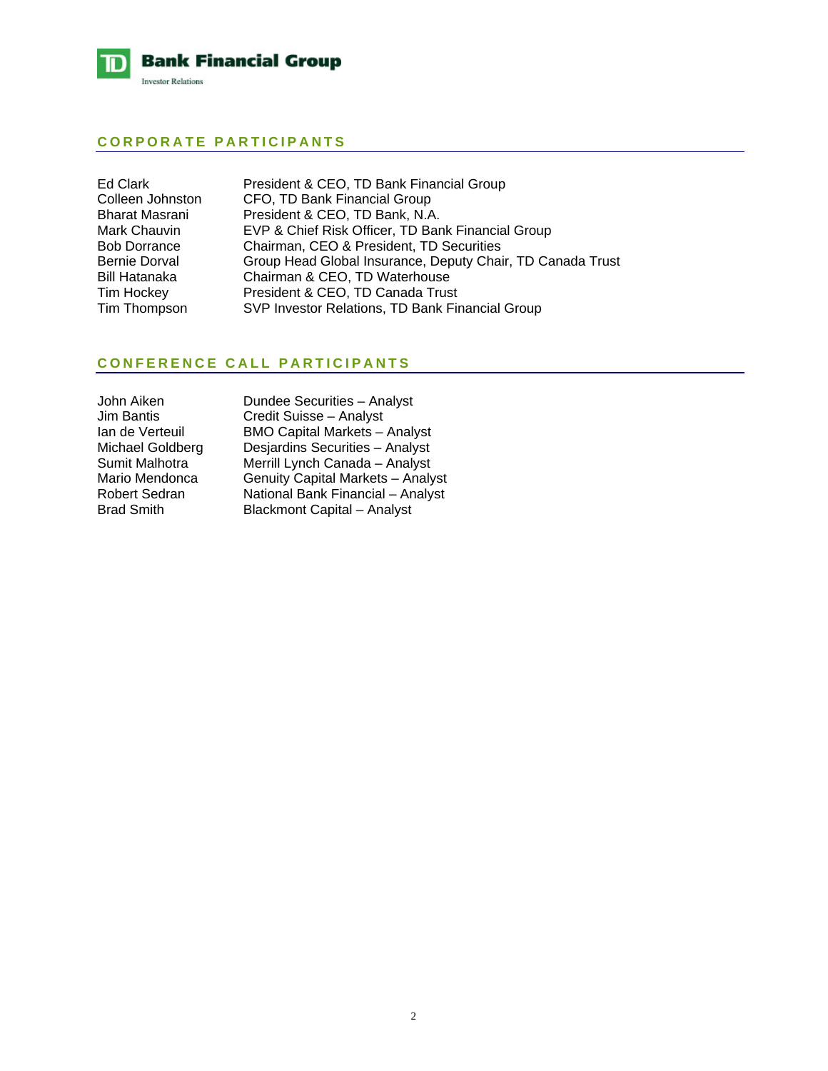

# **CORPORATE PARTICIPANTS**

| Ed Clark<br>Colleen Johnston | President & CEO, TD Bank Financial Group<br>CFO, TD Bank Financial Group |
|------------------------------|--------------------------------------------------------------------------|
| Bharat Masrani               | President & CEO, TD Bank, N.A.                                           |
| Mark Chauvin                 | EVP & Chief Risk Officer, TD Bank Financial Group                        |
| <b>Bob Dorrance</b>          | Chairman, CEO & President, TD Securities                                 |
| Bernie Dorval                | Group Head Global Insurance, Deputy Chair, TD Canada Trust               |
| Bill Hatanaka                | Chairman & CEO, TD Waterhouse                                            |
| Tim Hockey                   | President & CEO, TD Canada Trust                                         |
| Tim Thompson                 | SVP Investor Relations, TD Bank Financial Group                          |
|                              |                                                                          |

# **CONFERENCE CALL PARTICIPANTS**

Dundee Securities – Analyst Credit Suisse – Analyst BMO Capital Markets – Analyst Desjardins Securities – Analyst Merrill Lynch Canada – Analyst Genuity Capital Markets – Analyst National Bank Financial – Analyst Blackmont Capital – Analyst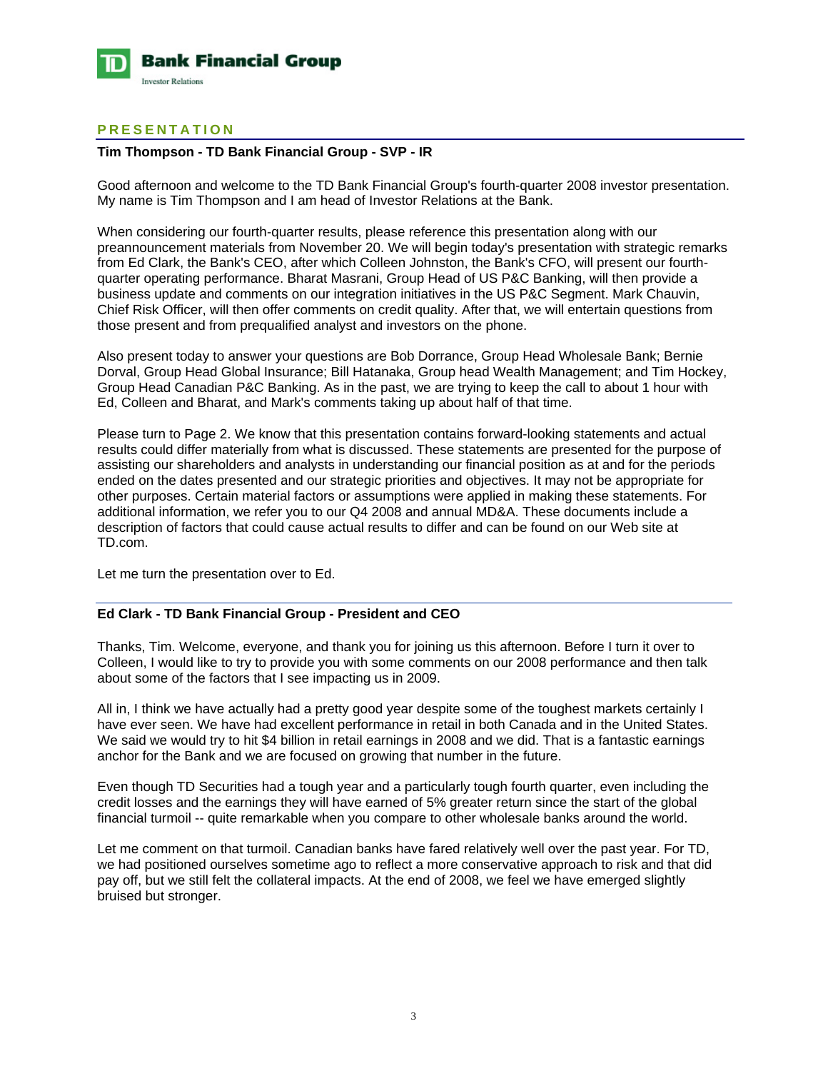

# **PRESENTATION**

### **Tim Thompson - TD Bank Financial Group - SVP - IR**

Good afternoon and welcome to the TD Bank Financial Group's fourth-quarter 2008 investor presentation. My name is Tim Thompson and I am head of Investor Relations at the Bank.

When considering our fourth-quarter results, please reference this presentation along with our preannouncement materials from November 20. We will begin today's presentation with strategic remarks from Ed Clark, the Bank's CEO, after which Colleen Johnston, the Bank's CFO, will present our fourthquarter operating performance. Bharat Masrani, Group Head of US P&C Banking, will then provide a business update and comments on our integration initiatives in the US P&C Segment. Mark Chauvin, Chief Risk Officer, will then offer comments on credit quality. After that, we will entertain questions from those present and from prequalified analyst and investors on the phone.

Also present today to answer your questions are Bob Dorrance, Group Head Wholesale Bank; Bernie Dorval, Group Head Global Insurance; Bill Hatanaka, Group head Wealth Management; and Tim Hockey, Group Head Canadian P&C Banking. As in the past, we are trying to keep the call to about 1 hour with Ed, Colleen and Bharat, and Mark's comments taking up about half of that time.

Please turn to Page 2. We know that this presentation contains forward-looking statements and actual results could differ materially from what is discussed. These statements are presented for the purpose of assisting our shareholders and analysts in understanding our financial position as at and for the periods ended on the dates presented and our strategic priorities and objectives. It may not be appropriate for other purposes. Certain material factors or assumptions were applied in making these statements. For additional information, we refer you to our Q4 2008 and annual MD&A. These documents include a description of factors that could cause actual results to differ and can be found on our Web site at TD.com.

Let me turn the presentation over to Ed.

#### **Ed Clark - TD Bank Financial Group - President and CEO**

Thanks, Tim. Welcome, everyone, and thank you for joining us this afternoon. Before I turn it over to Colleen, I would like to try to provide you with some comments on our 2008 performance and then talk about some of the factors that I see impacting us in 2009.

All in, I think we have actually had a pretty good year despite some of the toughest markets certainly I have ever seen. We have had excellent performance in retail in both Canada and in the United States. We said we would try to hit \$4 billion in retail earnings in 2008 and we did. That is a fantastic earnings anchor for the Bank and we are focused on growing that number in the future.

Even though TD Securities had a tough year and a particularly tough fourth quarter, even including the credit losses and the earnings they will have earned of 5% greater return since the start of the global financial turmoil -- quite remarkable when you compare to other wholesale banks around the world.

Let me comment on that turmoil. Canadian banks have fared relatively well over the past year. For TD, we had positioned ourselves sometime ago to reflect a more conservative approach to risk and that did pay off, but we still felt the collateral impacts. At the end of 2008, we feel we have emerged slightly bruised but stronger.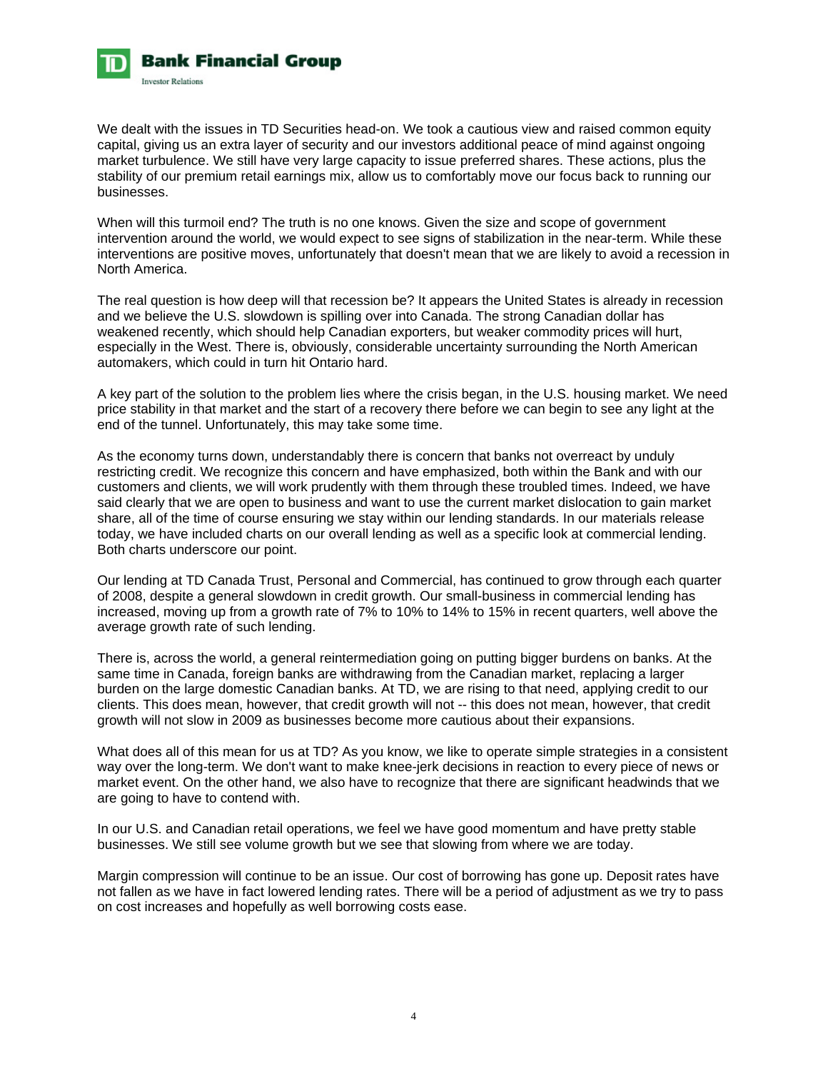

We dealt with the issues in TD Securities head-on. We took a cautious view and raised common equity capital, giving us an extra layer of security and our investors additional peace of mind against ongoing market turbulence. We still have very large capacity to issue preferred shares. These actions, plus the stability of our premium retail earnings mix, allow us to comfortably move our focus back to running our businesses.

When will this turmoil end? The truth is no one knows. Given the size and scope of government intervention around the world, we would expect to see signs of stabilization in the near-term. While these interventions are positive moves, unfortunately that doesn't mean that we are likely to avoid a recession in North America.

The real question is how deep will that recession be? It appears the United States is already in recession and we believe the U.S. slowdown is spilling over into Canada. The strong Canadian dollar has weakened recently, which should help Canadian exporters, but weaker commodity prices will hurt, especially in the West. There is, obviously, considerable uncertainty surrounding the North American automakers, which could in turn hit Ontario hard.

A key part of the solution to the problem lies where the crisis began, in the U.S. housing market. We need price stability in that market and the start of a recovery there before we can begin to see any light at the end of the tunnel. Unfortunately, this may take some time.

As the economy turns down, understandably there is concern that banks not overreact by unduly restricting credit. We recognize this concern and have emphasized, both within the Bank and with our customers and clients, we will work prudently with them through these troubled times. Indeed, we have said clearly that we are open to business and want to use the current market dislocation to gain market share, all of the time of course ensuring we stay within our lending standards. In our materials release today, we have included charts on our overall lending as well as a specific look at commercial lending. Both charts underscore our point.

Our lending at TD Canada Trust, Personal and Commercial, has continued to grow through each quarter of 2008, despite a general slowdown in credit growth. Our small-business in commercial lending has increased, moving up from a growth rate of 7% to 10% to 14% to 15% in recent quarters, well above the average growth rate of such lending.

There is, across the world, a general reintermediation going on putting bigger burdens on banks. At the same time in Canada, foreign banks are withdrawing from the Canadian market, replacing a larger burden on the large domestic Canadian banks. At TD, we are rising to that need, applying credit to our clients. This does mean, however, that credit growth will not -- this does not mean, however, that credit growth will not slow in 2009 as businesses become more cautious about their expansions.

What does all of this mean for us at TD? As you know, we like to operate simple strategies in a consistent way over the long-term. We don't want to make knee-jerk decisions in reaction to every piece of news or market event. On the other hand, we also have to recognize that there are significant headwinds that we are going to have to contend with.

In our U.S. and Canadian retail operations, we feel we have good momentum and have pretty stable businesses. We still see volume growth but we see that slowing from where we are today.

Margin compression will continue to be an issue. Our cost of borrowing has gone up. Deposit rates have not fallen as we have in fact lowered lending rates. There will be a period of adjustment as we try to pass on cost increases and hopefully as well borrowing costs ease.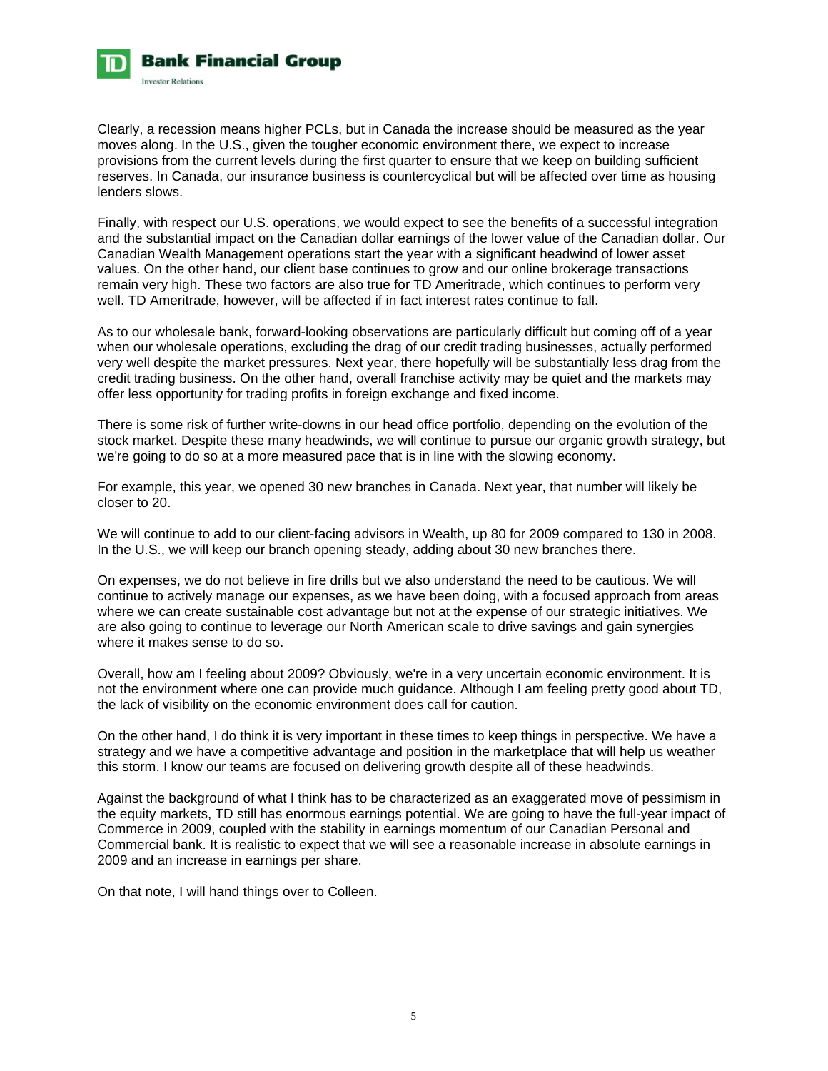

Clearly, a recession means higher PCLs, but in Canada the increase should be measured as the year moves along. In the U.S., given the tougher economic environment there, we expect to increase provisions from the current levels during the first quarter to ensure that we keep on building sufficient reserves. In Canada, our insurance business is countercyclical but will be affected over time as housing lenders slows.

Finally, with respect our U.S. operations, we would expect to see the benefits of a successful integration and the substantial impact on the Canadian dollar earnings of the lower value of the Canadian dollar. Our Canadian Wealth Management operations start the year with a significant headwind of lower asset values. On the other hand, our client base continues to grow and our online brokerage transactions remain very high. These two factors are also true for TD Ameritrade, which continues to perform very well. TD Ameritrade, however, will be affected if in fact interest rates continue to fall.

As to our wholesale bank, forward-looking observations are particularly difficult but coming off of a year when our wholesale operations, excluding the drag of our credit trading businesses, actually performed very well despite the market pressures. Next year, there hopefully will be substantially less drag from the credit trading business. On the other hand, overall franchise activity may be quiet and the markets may offer less opportunity for trading profits in foreign exchange and fixed income.

There is some risk of further write-downs in our head office portfolio, depending on the evolution of the stock market. Despite these many headwinds, we will continue to pursue our organic growth strategy, but we're going to do so at a more measured pace that is in line with the slowing economy.

For example, this year, we opened 30 new branches in Canada. Next year, that number will likely be closer to 20.

We will continue to add to our client-facing advisors in Wealth, up 80 for 2009 compared to 130 in 2008. In the U.S., we will keep our branch opening steady, adding about 30 new branches there.

On expenses, we do not believe in fire drills but we also understand the need to be cautious. We will continue to actively manage our expenses, as we have been doing, with a focused approach from areas where we can create sustainable cost advantage but not at the expense of our strategic initiatives. We are also going to continue to leverage our North American scale to drive savings and gain synergies where it makes sense to do so.

Overall, how am I feeling about 2009? Obviously, we're in a very uncertain economic environment. It is not the environment where one can provide much guidance. Although I am feeling pretty good about TD, the lack of visibility on the economic environment does call for caution.

On the other hand, I do think it is very important in these times to keep things in perspective. We have a strategy and we have a competitive advantage and position in the marketplace that will help us weather this storm. I know our teams are focused on delivering growth despite all of these headwinds.

Against the background of what I think has to be characterized as an exaggerated move of pessimism in the equity markets, TD still has enormous earnings potential. We are going to have the full-year impact of Commerce in 2009, coupled with the stability in earnings momentum of our Canadian Personal and Commercial bank. It is realistic to expect that we will see a reasonable increase in absolute earnings in 2009 and an increase in earnings per share.

On that note, I will hand things over to Colleen.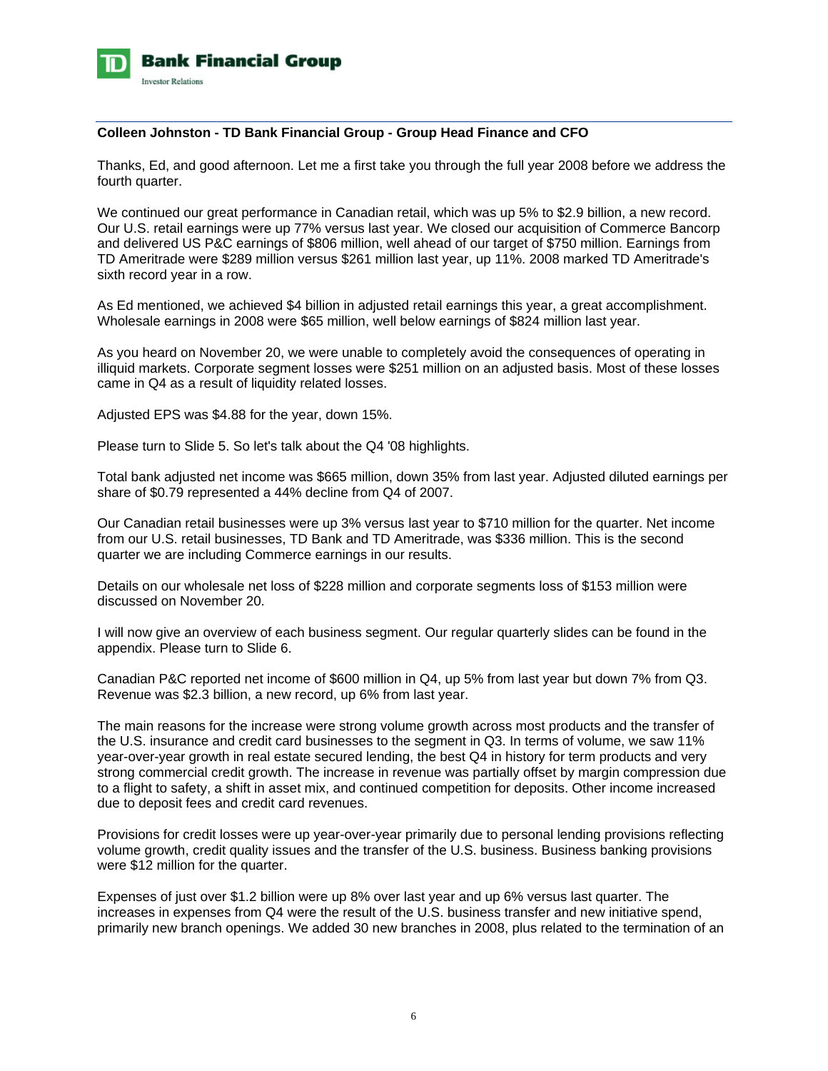

### **Colleen Johnston - TD Bank Financial Group - Group Head Finance and CFO**

Thanks, Ed, and good afternoon. Let me a first take you through the full year 2008 before we address the fourth quarter.

We continued our great performance in Canadian retail, which was up 5% to \$2.9 billion, a new record. Our U.S. retail earnings were up 77% versus last year. We closed our acquisition of Commerce Bancorp and delivered US P&C earnings of \$806 million, well ahead of our target of \$750 million. Earnings from TD Ameritrade were \$289 million versus \$261 million last year, up 11%. 2008 marked TD Ameritrade's sixth record year in a row.

As Ed mentioned, we achieved \$4 billion in adjusted retail earnings this year, a great accomplishment. Wholesale earnings in 2008 were \$65 million, well below earnings of \$824 million last year.

As you heard on November 20, we were unable to completely avoid the consequences of operating in illiquid markets. Corporate segment losses were \$251 million on an adjusted basis. Most of these losses came in Q4 as a result of liquidity related losses.

Adjusted EPS was \$4.88 for the year, down 15%.

Please turn to Slide 5. So let's talk about the Q4 '08 highlights.

Total bank adjusted net income was \$665 million, down 35% from last year. Adjusted diluted earnings per share of \$0.79 represented a 44% decline from Q4 of 2007.

Our Canadian retail businesses were up 3% versus last year to \$710 million for the quarter. Net income from our U.S. retail businesses, TD Bank and TD Ameritrade, was \$336 million. This is the second quarter we are including Commerce earnings in our results.

Details on our wholesale net loss of \$228 million and corporate segments loss of \$153 million were discussed on November 20.

I will now give an overview of each business segment. Our regular quarterly slides can be found in the appendix. Please turn to Slide 6.

Canadian P&C reported net income of \$600 million in Q4, up 5% from last year but down 7% from Q3. Revenue was \$2.3 billion, a new record, up 6% from last year.

The main reasons for the increase were strong volume growth across most products and the transfer of the U.S. insurance and credit card businesses to the segment in Q3. In terms of volume, we saw 11% year-over-year growth in real estate secured lending, the best Q4 in history for term products and very strong commercial credit growth. The increase in revenue was partially offset by margin compression due to a flight to safety, a shift in asset mix, and continued competition for deposits. Other income increased due to deposit fees and credit card revenues.

Provisions for credit losses were up year-over-year primarily due to personal lending provisions reflecting volume growth, credit quality issues and the transfer of the U.S. business. Business banking provisions were \$12 million for the quarter.

Expenses of just over \$1.2 billion were up 8% over last year and up 6% versus last quarter. The increases in expenses from Q4 were the result of the U.S. business transfer and new initiative spend, primarily new branch openings. We added 30 new branches in 2008, plus related to the termination of an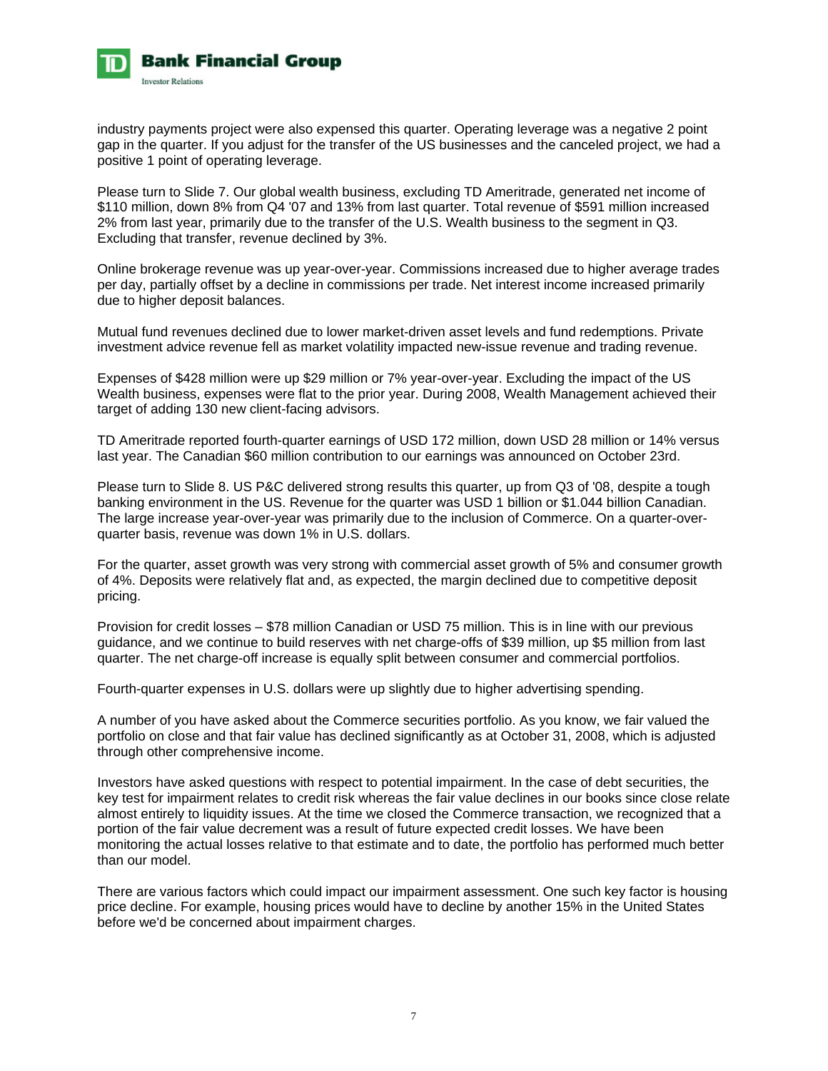

industry payments project were also expensed this quarter. Operating leverage was a negative 2 point gap in the quarter. If you adjust for the transfer of the US businesses and the canceled project, we had a positive 1 point of operating leverage.

Please turn to Slide 7. Our global wealth business, excluding TD Ameritrade, generated net income of \$110 million, down 8% from Q4 '07 and 13% from last quarter. Total revenue of \$591 million increased 2% from last year, primarily due to the transfer of the U.S. Wealth business to the segment in Q3. Excluding that transfer, revenue declined by 3%.

Online brokerage revenue was up year-over-year. Commissions increased due to higher average trades per day, partially offset by a decline in commissions per trade. Net interest income increased primarily due to higher deposit balances.

Mutual fund revenues declined due to lower market-driven asset levels and fund redemptions. Private investment advice revenue fell as market volatility impacted new-issue revenue and trading revenue.

Expenses of \$428 million were up \$29 million or 7% year-over-year. Excluding the impact of the US Wealth business, expenses were flat to the prior year. During 2008, Wealth Management achieved their target of adding 130 new client-facing advisors.

TD Ameritrade reported fourth-quarter earnings of USD 172 million, down USD 28 million or 14% versus last year. The Canadian \$60 million contribution to our earnings was announced on October 23rd.

Please turn to Slide 8. US P&C delivered strong results this quarter, up from Q3 of '08, despite a tough banking environment in the US. Revenue for the quarter was USD 1 billion or \$1.044 billion Canadian. The large increase year-over-year was primarily due to the inclusion of Commerce. On a quarter-overquarter basis, revenue was down 1% in U.S. dollars.

For the quarter, asset growth was very strong with commercial asset growth of 5% and consumer growth of 4%. Deposits were relatively flat and, as expected, the margin declined due to competitive deposit pricing.

Provision for credit losses – \$78 million Canadian or USD 75 million. This is in line with our previous guidance, and we continue to build reserves with net charge-offs of \$39 million, up \$5 million from last quarter. The net charge-off increase is equally split between consumer and commercial portfolios.

Fourth-quarter expenses in U.S. dollars were up slightly due to higher advertising spending.

A number of you have asked about the Commerce securities portfolio. As you know, we fair valued the portfolio on close and that fair value has declined significantly as at October 31, 2008, which is adjusted through other comprehensive income.

Investors have asked questions with respect to potential impairment. In the case of debt securities, the key test for impairment relates to credit risk whereas the fair value declines in our books since close relate almost entirely to liquidity issues. At the time we closed the Commerce transaction, we recognized that a portion of the fair value decrement was a result of future expected credit losses. We have been monitoring the actual losses relative to that estimate and to date, the portfolio has performed much better than our model.

There are various factors which could impact our impairment assessment. One such key factor is housing price decline. For example, housing prices would have to decline by another 15% in the United States before we'd be concerned about impairment charges.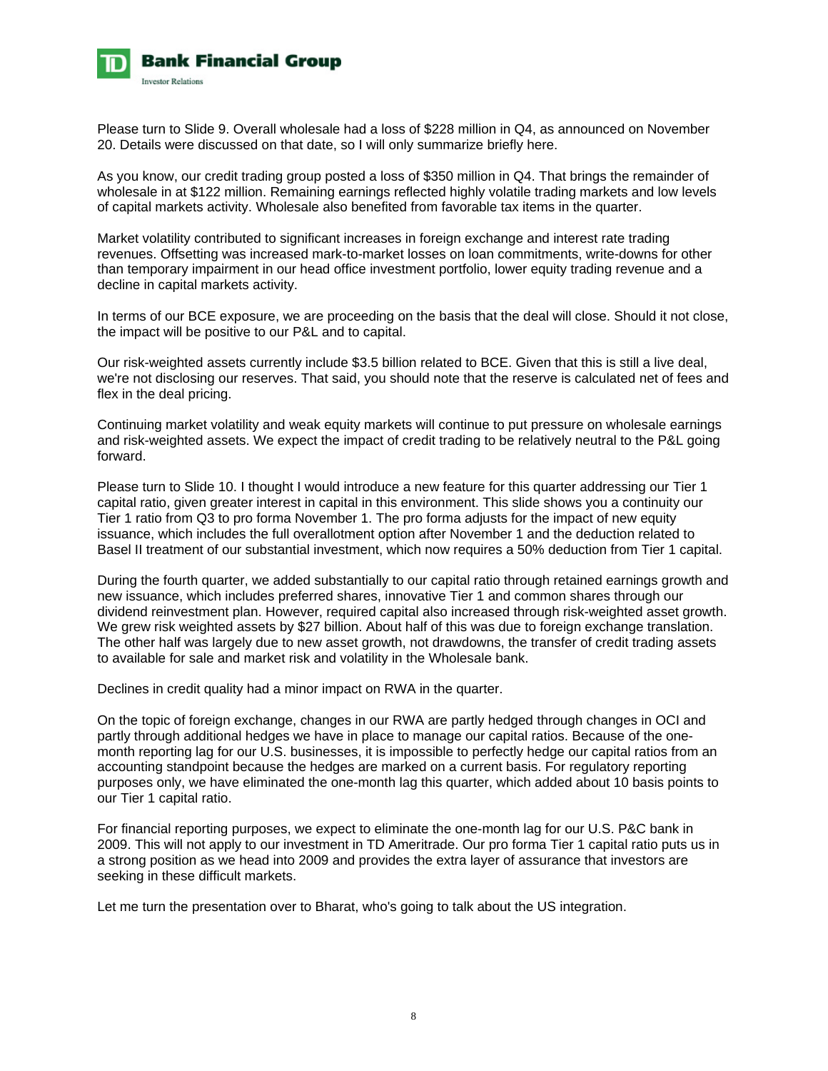

Please turn to Slide 9. Overall wholesale had a loss of \$228 million in Q4, as announced on November 20. Details were discussed on that date, so I will only summarize briefly here.

As you know, our credit trading group posted a loss of \$350 million in Q4. That brings the remainder of wholesale in at \$122 million. Remaining earnings reflected highly volatile trading markets and low levels of capital markets activity. Wholesale also benefited from favorable tax items in the quarter.

Market volatility contributed to significant increases in foreign exchange and interest rate trading revenues. Offsetting was increased mark-to-market losses on loan commitments, write-downs for other than temporary impairment in our head office investment portfolio, lower equity trading revenue and a decline in capital markets activity.

In terms of our BCE exposure, we are proceeding on the basis that the deal will close. Should it not close, the impact will be positive to our P&L and to capital.

Our risk-weighted assets currently include \$3.5 billion related to BCE. Given that this is still a live deal, we're not disclosing our reserves. That said, you should note that the reserve is calculated net of fees and flex in the deal pricing.

Continuing market volatility and weak equity markets will continue to put pressure on wholesale earnings and risk-weighted assets. We expect the impact of credit trading to be relatively neutral to the P&L going forward.

Please turn to Slide 10. I thought I would introduce a new feature for this quarter addressing our Tier 1 capital ratio, given greater interest in capital in this environment. This slide shows you a continuity our Tier 1 ratio from Q3 to pro forma November 1. The pro forma adjusts for the impact of new equity issuance, which includes the full overallotment option after November 1 and the deduction related to Basel II treatment of our substantial investment, which now requires a 50% deduction from Tier 1 capital.

During the fourth quarter, we added substantially to our capital ratio through retained earnings growth and new issuance, which includes preferred shares, innovative Tier 1 and common shares through our dividend reinvestment plan. However, required capital also increased through risk-weighted asset growth. We grew risk weighted assets by \$27 billion. About half of this was due to foreign exchange translation. The other half was largely due to new asset growth, not drawdowns, the transfer of credit trading assets to available for sale and market risk and volatility in the Wholesale bank.

Declines in credit quality had a minor impact on RWA in the quarter.

On the topic of foreign exchange, changes in our RWA are partly hedged through changes in OCI and partly through additional hedges we have in place to manage our capital ratios. Because of the onemonth reporting lag for our U.S. businesses, it is impossible to perfectly hedge our capital ratios from an accounting standpoint because the hedges are marked on a current basis. For regulatory reporting purposes only, we have eliminated the one-month lag this quarter, which added about 10 basis points to our Tier 1 capital ratio.

For financial reporting purposes, we expect to eliminate the one-month lag for our U.S. P&C bank in 2009. This will not apply to our investment in TD Ameritrade. Our pro forma Tier 1 capital ratio puts us in a strong position as we head into 2009 and provides the extra layer of assurance that investors are seeking in these difficult markets.

Let me turn the presentation over to Bharat, who's going to talk about the US integration.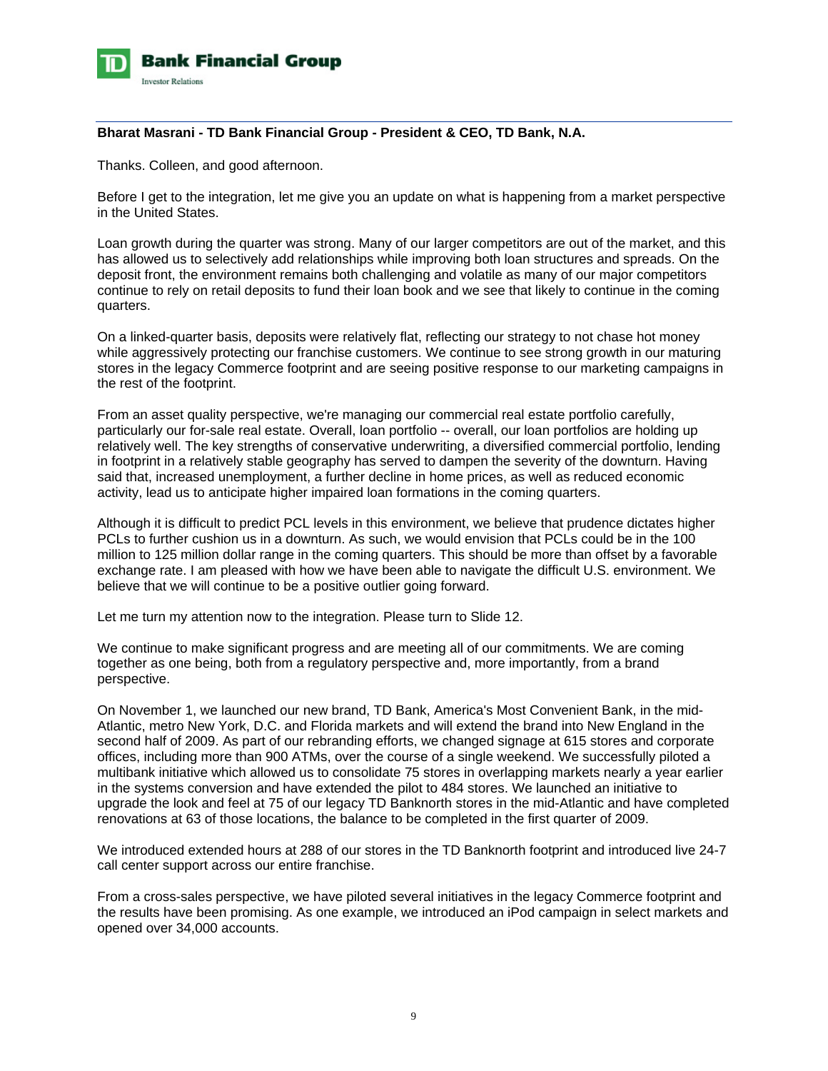

### **Bharat Masrani - TD Bank Financial Group - President & CEO, TD Bank, N.A.**

Thanks. Colleen, and good afternoon.

Before I get to the integration, let me give you an update on what is happening from a market perspective in the United States.

Loan growth during the quarter was strong. Many of our larger competitors are out of the market, and this has allowed us to selectively add relationships while improving both loan structures and spreads. On the deposit front, the environment remains both challenging and volatile as many of our major competitors continue to rely on retail deposits to fund their loan book and we see that likely to continue in the coming quarters.

On a linked-quarter basis, deposits were relatively flat, reflecting our strategy to not chase hot money while aggressively protecting our franchise customers. We continue to see strong growth in our maturing stores in the legacy Commerce footprint and are seeing positive response to our marketing campaigns in the rest of the footprint.

From an asset quality perspective, we're managing our commercial real estate portfolio carefully, particularly our for-sale real estate. Overall, loan portfolio -- overall, our loan portfolios are holding up relatively well. The key strengths of conservative underwriting, a diversified commercial portfolio, lending in footprint in a relatively stable geography has served to dampen the severity of the downturn. Having said that, increased unemployment, a further decline in home prices, as well as reduced economic activity, lead us to anticipate higher impaired loan formations in the coming quarters.

Although it is difficult to predict PCL levels in this environment, we believe that prudence dictates higher PCLs to further cushion us in a downturn. As such, we would envision that PCLs could be in the 100 million to 125 million dollar range in the coming quarters. This should be more than offset by a favorable exchange rate. I am pleased with how we have been able to navigate the difficult U.S. environment. We believe that we will continue to be a positive outlier going forward.

Let me turn my attention now to the integration. Please turn to Slide 12.

We continue to make significant progress and are meeting all of our commitments. We are coming together as one being, both from a regulatory perspective and, more importantly, from a brand perspective.

On November 1, we launched our new brand, TD Bank, America's Most Convenient Bank, in the mid-Atlantic, metro New York, D.C. and Florida markets and will extend the brand into New England in the second half of 2009. As part of our rebranding efforts, we changed signage at 615 stores and corporate offices, including more than 900 ATMs, over the course of a single weekend. We successfully piloted a multibank initiative which allowed us to consolidate 75 stores in overlapping markets nearly a year earlier in the systems conversion and have extended the pilot to 484 stores. We launched an initiative to upgrade the look and feel at 75 of our legacy TD Banknorth stores in the mid-Atlantic and have completed renovations at 63 of those locations, the balance to be completed in the first quarter of 2009.

We introduced extended hours at 288 of our stores in the TD Banknorth footprint and introduced live 24-7 call center support across our entire franchise.

From a cross-sales perspective, we have piloted several initiatives in the legacy Commerce footprint and the results have been promising. As one example, we introduced an iPod campaign in select markets and opened over 34,000 accounts.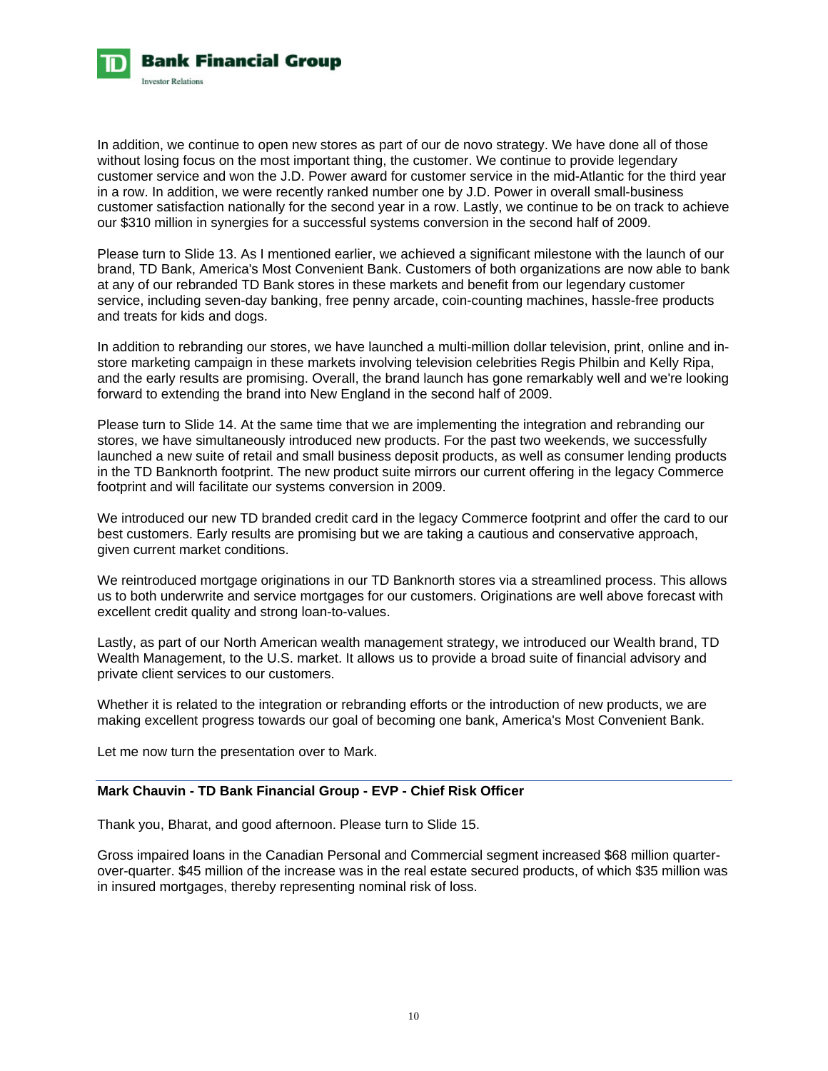

In addition, we continue to open new stores as part of our de novo strategy. We have done all of those without losing focus on the most important thing, the customer. We continue to provide legendary customer service and won the J.D. Power award for customer service in the mid-Atlantic for the third year in a row. In addition, we were recently ranked number one by J.D. Power in overall small-business customer satisfaction nationally for the second year in a row. Lastly, we continue to be on track to achieve our \$310 million in synergies for a successful systems conversion in the second half of 2009.

Please turn to Slide 13. As I mentioned earlier, we achieved a significant milestone with the launch of our brand, TD Bank, America's Most Convenient Bank. Customers of both organizations are now able to bank at any of our rebranded TD Bank stores in these markets and benefit from our legendary customer service, including seven-day banking, free penny arcade, coin-counting machines, hassle-free products and treats for kids and dogs.

In addition to rebranding our stores, we have launched a multi-million dollar television, print, online and instore marketing campaign in these markets involving television celebrities Regis Philbin and Kelly Ripa, and the early results are promising. Overall, the brand launch has gone remarkably well and we're looking forward to extending the brand into New England in the second half of 2009.

Please turn to Slide 14. At the same time that we are implementing the integration and rebranding our stores, we have simultaneously introduced new products. For the past two weekends, we successfully launched a new suite of retail and small business deposit products, as well as consumer lending products in the TD Banknorth footprint. The new product suite mirrors our current offering in the legacy Commerce footprint and will facilitate our systems conversion in 2009.

We introduced our new TD branded credit card in the legacy Commerce footprint and offer the card to our best customers. Early results are promising but we are taking a cautious and conservative approach, given current market conditions.

We reintroduced mortgage originations in our TD Banknorth stores via a streamlined process. This allows us to both underwrite and service mortgages for our customers. Originations are well above forecast with excellent credit quality and strong loan-to-values.

Lastly, as part of our North American wealth management strategy, we introduced our Wealth brand, TD Wealth Management, to the U.S. market. It allows us to provide a broad suite of financial advisory and private client services to our customers.

Whether it is related to the integration or rebranding efforts or the introduction of new products, we are making excellent progress towards our goal of becoming one bank, America's Most Convenient Bank.

Let me now turn the presentation over to Mark.

# **Mark Chauvin - TD Bank Financial Group - EVP - Chief Risk Officer**

Thank you, Bharat, and good afternoon. Please turn to Slide 15.

Gross impaired loans in the Canadian Personal and Commercial segment increased \$68 million quarterover-quarter. \$45 million of the increase was in the real estate secured products, of which \$35 million was in insured mortgages, thereby representing nominal risk of loss.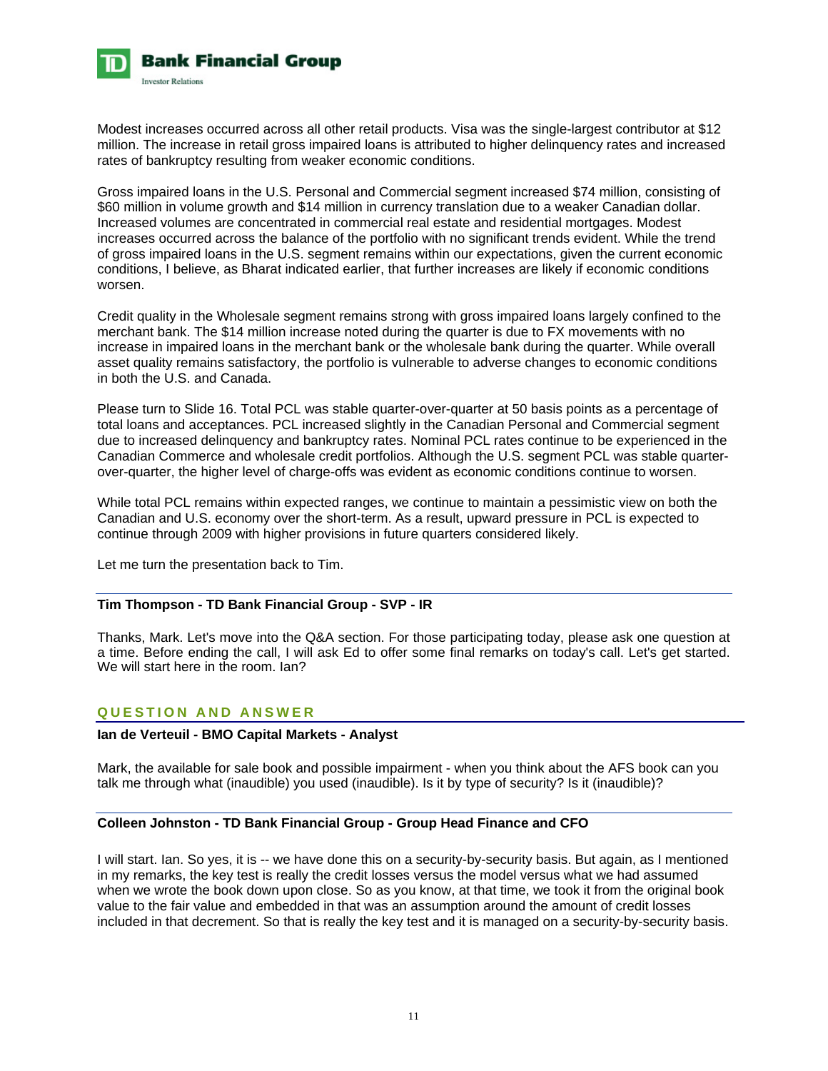

Modest increases occurred across all other retail products. Visa was the single-largest contributor at \$12 million. The increase in retail gross impaired loans is attributed to higher delinquency rates and increased rates of bankruptcy resulting from weaker economic conditions.

Gross impaired loans in the U.S. Personal and Commercial segment increased \$74 million, consisting of \$60 million in volume growth and \$14 million in currency translation due to a weaker Canadian dollar. Increased volumes are concentrated in commercial real estate and residential mortgages. Modest increases occurred across the balance of the portfolio with no significant trends evident. While the trend of gross impaired loans in the U.S. segment remains within our expectations, given the current economic conditions, I believe, as Bharat indicated earlier, that further increases are likely if economic conditions worsen.

Credit quality in the Wholesale segment remains strong with gross impaired loans largely confined to the merchant bank. The \$14 million increase noted during the quarter is due to FX movements with no increase in impaired loans in the merchant bank or the wholesale bank during the quarter. While overall asset quality remains satisfactory, the portfolio is vulnerable to adverse changes to economic conditions in both the U.S. and Canada.

Please turn to Slide 16. Total PCL was stable quarter-over-quarter at 50 basis points as a percentage of total loans and acceptances. PCL increased slightly in the Canadian Personal and Commercial segment due to increased delinquency and bankruptcy rates. Nominal PCL rates continue to be experienced in the Canadian Commerce and wholesale credit portfolios. Although the U.S. segment PCL was stable quarterover-quarter, the higher level of charge-offs was evident as economic conditions continue to worsen.

While total PCL remains within expected ranges, we continue to maintain a pessimistic view on both the Canadian and U.S. economy over the short-term. As a result, upward pressure in PCL is expected to continue through 2009 with higher provisions in future quarters considered likely.

Let me turn the presentation back to Tim.

# **Tim Thompson - TD Bank Financial Group - SVP - IR**

Thanks, Mark. Let's move into the Q&A section. For those participating today, please ask one question at a time. Before ending the call, I will ask Ed to offer some final remarks on today's call. Let's get started. We will start here in the room. Ian?

### **QUESTION AND ANSWER**

# **Ian de Verteuil - BMO Capital Markets - Analyst**

Mark, the available for sale book and possible impairment - when you think about the AFS book can you talk me through what (inaudible) you used (inaudible). Is it by type of security? Is it (inaudible)?

### **Colleen Johnston - TD Bank Financial Group - Group Head Finance and CFO**

I will start. Ian. So yes, it is -- we have done this on a security-by-security basis. But again, as I mentioned in my remarks, the key test is really the credit losses versus the model versus what we had assumed when we wrote the book down upon close. So as you know, at that time, we took it from the original book value to the fair value and embedded in that was an assumption around the amount of credit losses included in that decrement. So that is really the key test and it is managed on a security-by-security basis.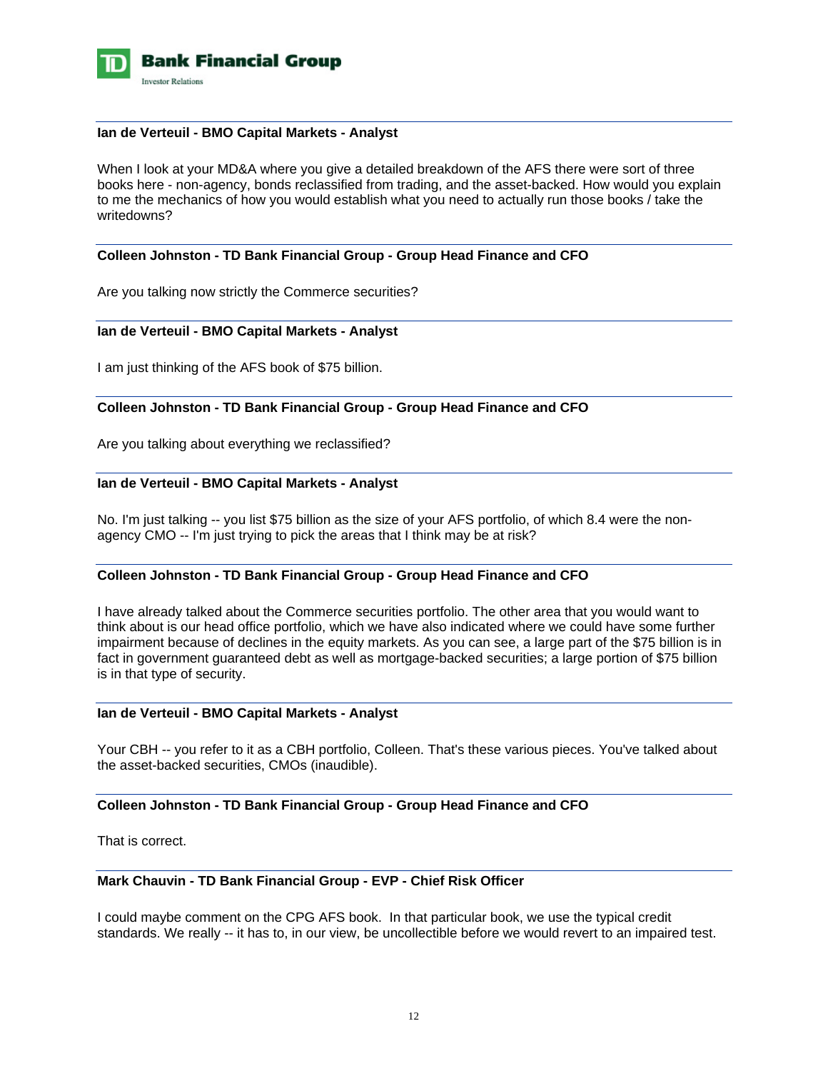

#### **Ian de Verteuil - BMO Capital Markets - Analyst**

When I look at your MD&A where you give a detailed breakdown of the AFS there were sort of three books here - non-agency, bonds reclassified from trading, and the asset-backed. How would you explain to me the mechanics of how you would establish what you need to actually run those books / take the writedowns?

# **Colleen Johnston - TD Bank Financial Group - Group Head Finance and CFO**

Are you talking now strictly the Commerce securities?

### **Ian de Verteuil - BMO Capital Markets - Analyst**

I am just thinking of the AFS book of \$75 billion.

### **Colleen Johnston - TD Bank Financial Group - Group Head Finance and CFO**

Are you talking about everything we reclassified?

### **Ian de Verteuil - BMO Capital Markets - Analyst**

No. I'm just talking -- you list \$75 billion as the size of your AFS portfolio, of which 8.4 were the nonagency CMO -- I'm just trying to pick the areas that I think may be at risk?

#### **Colleen Johnston - TD Bank Financial Group - Group Head Finance and CFO**

I have already talked about the Commerce securities portfolio. The other area that you would want to think about is our head office portfolio, which we have also indicated where we could have some further impairment because of declines in the equity markets. As you can see, a large part of the \$75 billion is in fact in government guaranteed debt as well as mortgage-backed securities; a large portion of \$75 billion is in that type of security.

### **Ian de Verteuil - BMO Capital Markets - Analyst**

Your CBH -- you refer to it as a CBH portfolio, Colleen. That's these various pieces. You've talked about the asset-backed securities, CMOs (inaudible).

### **Colleen Johnston - TD Bank Financial Group - Group Head Finance and CFO**

That is correct.

# **Mark Chauvin - TD Bank Financial Group - EVP - Chief Risk Officer**

I could maybe comment on the CPG AFS book. In that particular book, we use the typical credit standards. We really -- it has to, in our view, be uncollectible before we would revert to an impaired test.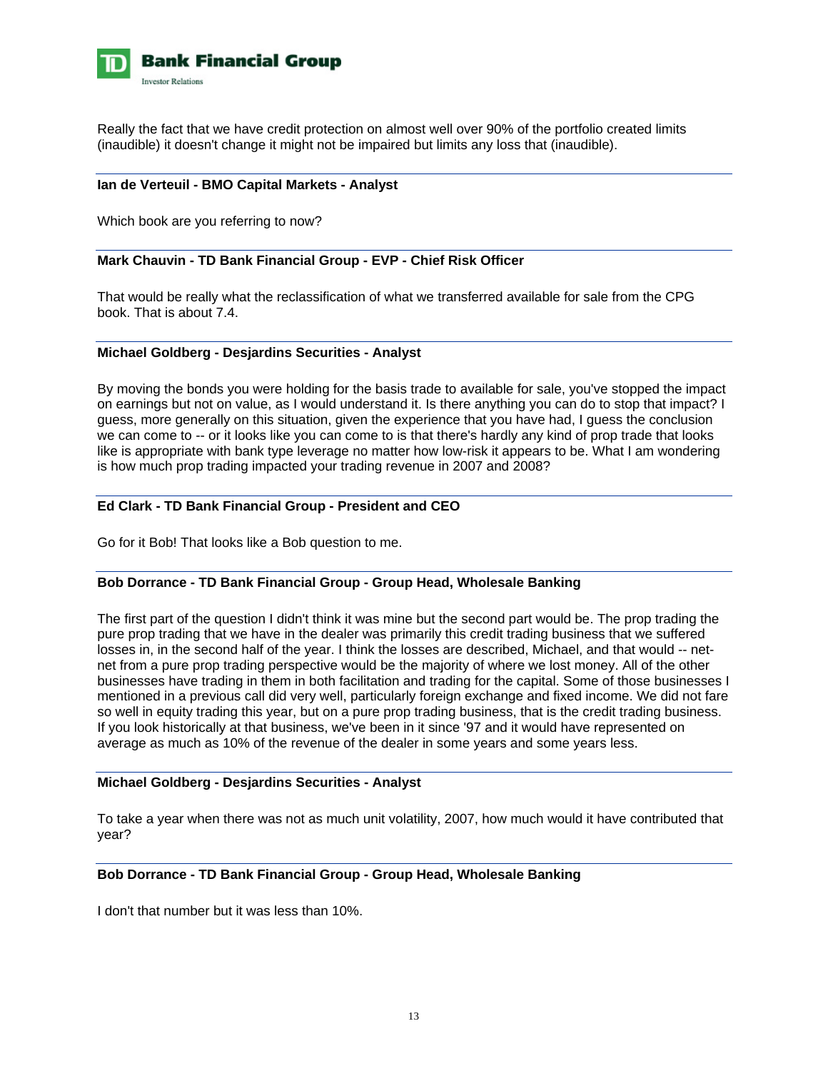

Really the fact that we have credit protection on almost well over 90% of the portfolio created limits (inaudible) it doesn't change it might not be impaired but limits any loss that (inaudible).

### **Ian de Verteuil - BMO Capital Markets - Analyst**

Which book are you referring to now?

### **Mark Chauvin - TD Bank Financial Group - EVP - Chief Risk Officer**

That would be really what the reclassification of what we transferred available for sale from the CPG book. That is about 7.4.

#### **Michael Goldberg - Desjardins Securities - Analyst**

By moving the bonds you were holding for the basis trade to available for sale, you've stopped the impact on earnings but not on value, as I would understand it. Is there anything you can do to stop that impact? I guess, more generally on this situation, given the experience that you have had, I guess the conclusion we can come to -- or it looks like you can come to is that there's hardly any kind of prop trade that looks like is appropriate with bank type leverage no matter how low-risk it appears to be. What I am wondering is how much prop trading impacted your trading revenue in 2007 and 2008?

### **Ed Clark - TD Bank Financial Group - President and CEO**

Go for it Bob! That looks like a Bob question to me.

#### **Bob Dorrance - TD Bank Financial Group - Group Head, Wholesale Banking**

The first part of the question I didn't think it was mine but the second part would be. The prop trading the pure prop trading that we have in the dealer was primarily this credit trading business that we suffered losses in, in the second half of the year. I think the losses are described, Michael, and that would -- netnet from a pure prop trading perspective would be the majority of where we lost money. All of the other businesses have trading in them in both facilitation and trading for the capital. Some of those businesses I mentioned in a previous call did very well, particularly foreign exchange and fixed income. We did not fare so well in equity trading this year, but on a pure prop trading business, that is the credit trading business. If you look historically at that business, we've been in it since '97 and it would have represented on average as much as 10% of the revenue of the dealer in some years and some years less.

#### **Michael Goldberg - Desjardins Securities - Analyst**

To take a year when there was not as much unit volatility, 2007, how much would it have contributed that year?

### **Bob Dorrance - TD Bank Financial Group - Group Head, Wholesale Banking**

I don't that number but it was less than 10%.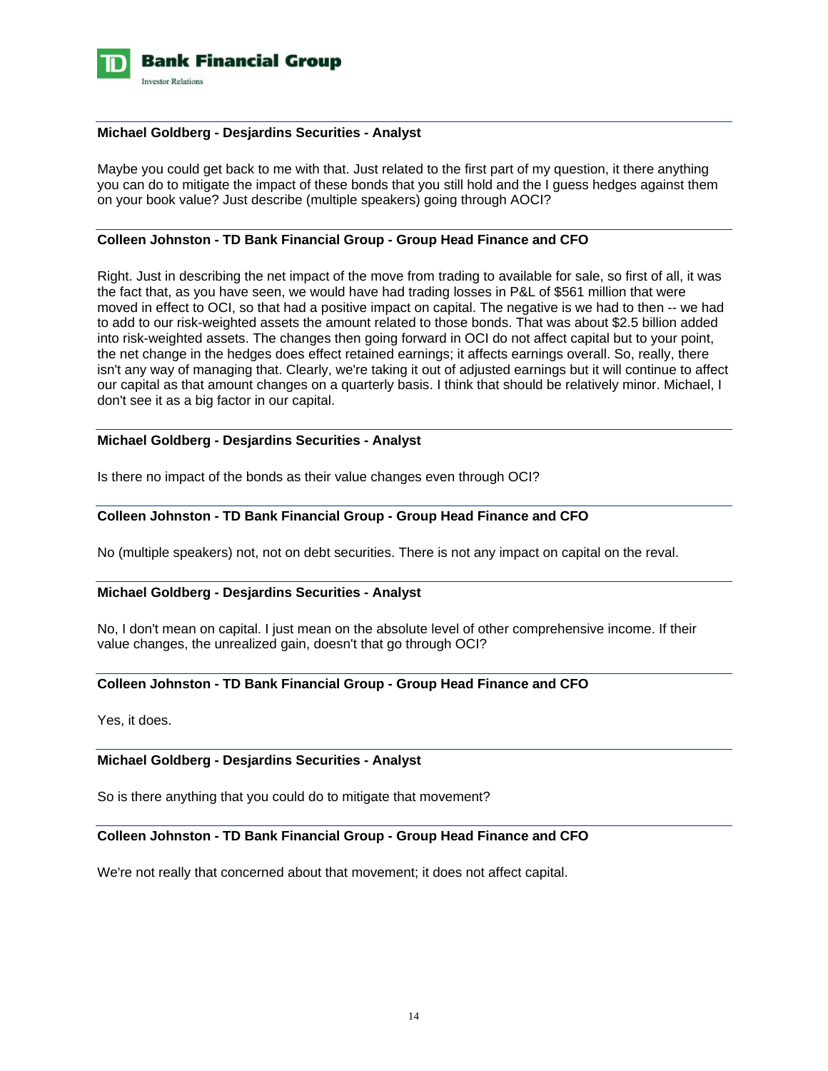

### **Michael Goldberg - Desjardins Securities - Analyst**

Maybe you could get back to me with that. Just related to the first part of my question, it there anything you can do to mitigate the impact of these bonds that you still hold and the I guess hedges against them on your book value? Just describe (multiple speakers) going through AOCI?

### **Colleen Johnston - TD Bank Financial Group - Group Head Finance and CFO**

Right. Just in describing the net impact of the move from trading to available for sale, so first of all, it was the fact that, as you have seen, we would have had trading losses in P&L of \$561 million that were moved in effect to OCI, so that had a positive impact on capital. The negative is we had to then -- we had to add to our risk-weighted assets the amount related to those bonds. That was about \$2.5 billion added into risk-weighted assets. The changes then going forward in OCI do not affect capital but to your point, the net change in the hedges does effect retained earnings; it affects earnings overall. So, really, there isn't any way of managing that. Clearly, we're taking it out of adjusted earnings but it will continue to affect our capital as that amount changes on a quarterly basis. I think that should be relatively minor. Michael, I don't see it as a big factor in our capital.

## **Michael Goldberg - Desjardins Securities - Analyst**

Is there no impact of the bonds as their value changes even through OCI?

# **Colleen Johnston - TD Bank Financial Group - Group Head Finance and CFO**

No (multiple speakers) not, not on debt securities. There is not any impact on capital on the reval.

#### **Michael Goldberg - Desjardins Securities - Analyst**

No, I don't mean on capital. I just mean on the absolute level of other comprehensive income. If their value changes, the unrealized gain, doesn't that go through OCI?

# **Colleen Johnston - TD Bank Financial Group - Group Head Finance and CFO**

Yes, it does.

### **Michael Goldberg - Desjardins Securities - Analyst**

So is there anything that you could do to mitigate that movement?

### **Colleen Johnston - TD Bank Financial Group - Group Head Finance and CFO**

We're not really that concerned about that movement; it does not affect capital.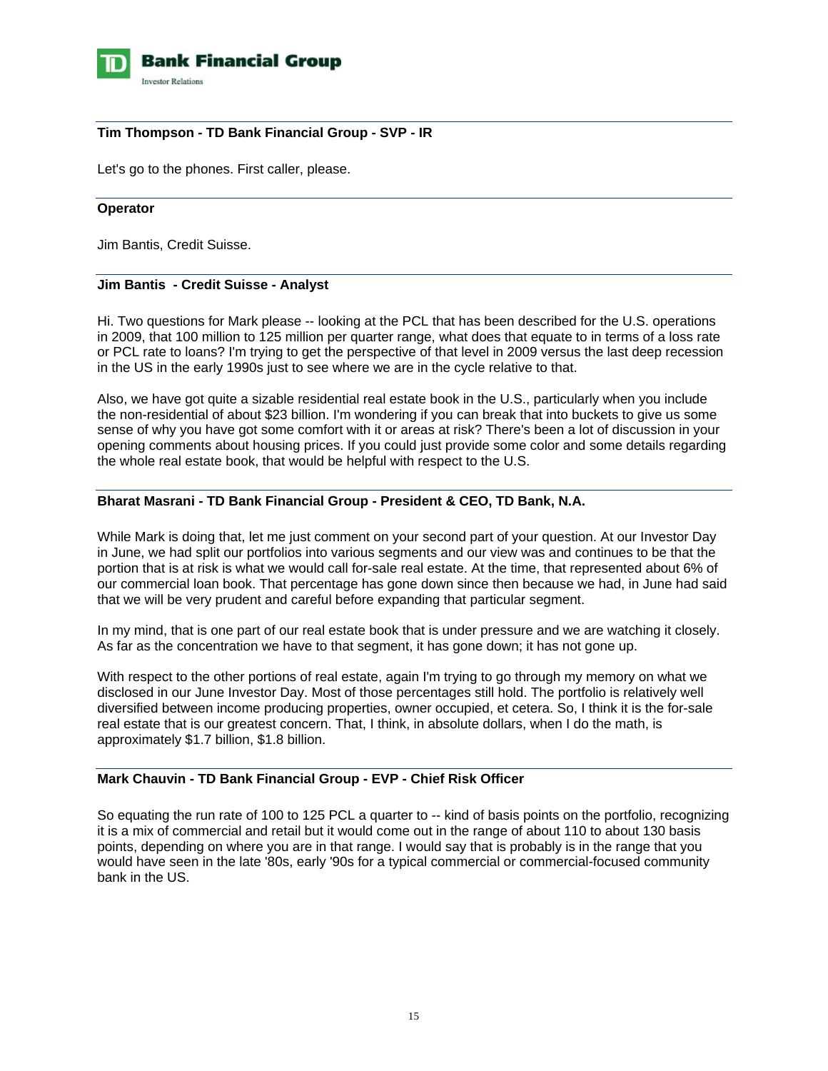

# **Tim Thompson - TD Bank Financial Group - SVP - IR**

Let's go to the phones. First caller, please.

### **Operator**

Jim Bantis, Credit Suisse.

# **Jim Bantis - Credit Suisse - Analyst**

Hi. Two questions for Mark please -- looking at the PCL that has been described for the U.S. operations in 2009, that 100 million to 125 million per quarter range, what does that equate to in terms of a loss rate or PCL rate to loans? I'm trying to get the perspective of that level in 2009 versus the last deep recession in the US in the early 1990s just to see where we are in the cycle relative to that.

Also, we have got quite a sizable residential real estate book in the U.S., particularly when you include the non-residential of about \$23 billion. I'm wondering if you can break that into buckets to give us some sense of why you have got some comfort with it or areas at risk? There's been a lot of discussion in your opening comments about housing prices. If you could just provide some color and some details regarding the whole real estate book, that would be helpful with respect to the U.S.

### **Bharat Masrani - TD Bank Financial Group - President & CEO, TD Bank, N.A.**

While Mark is doing that, let me just comment on your second part of your question. At our Investor Day in June, we had split our portfolios into various segments and our view was and continues to be that the portion that is at risk is what we would call for-sale real estate. At the time, that represented about 6% of our commercial loan book. That percentage has gone down since then because we had, in June had said that we will be very prudent and careful before expanding that particular segment.

In my mind, that is one part of our real estate book that is under pressure and we are watching it closely. As far as the concentration we have to that segment, it has gone down; it has not gone up.

With respect to the other portions of real estate, again I'm trying to go through my memory on what we disclosed in our June Investor Day. Most of those percentages still hold. The portfolio is relatively well diversified between income producing properties, owner occupied, et cetera. So, I think it is the for-sale real estate that is our greatest concern. That, I think, in absolute dollars, when I do the math, is approximately \$1.7 billion, \$1.8 billion.

### **Mark Chauvin - TD Bank Financial Group - EVP - Chief Risk Officer**

So equating the run rate of 100 to 125 PCL a quarter to -- kind of basis points on the portfolio, recognizing it is a mix of commercial and retail but it would come out in the range of about 110 to about 130 basis points, depending on where you are in that range. I would say that is probably is in the range that you would have seen in the late '80s, early '90s for a typical commercial or commercial-focused community bank in the US.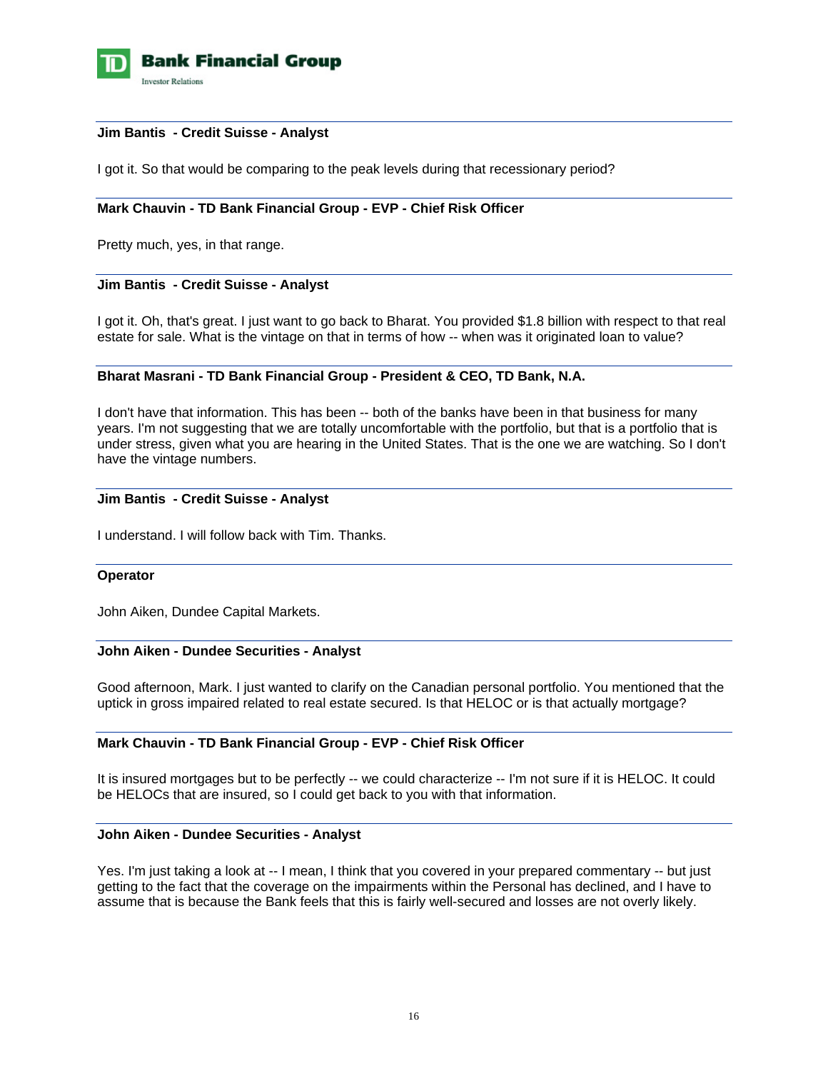

### **Jim Bantis - Credit Suisse - Analyst**

I got it. So that would be comparing to the peak levels during that recessionary period?

# **Mark Chauvin - TD Bank Financial Group - EVP - Chief Risk Officer**

Pretty much, yes, in that range.

### **Jim Bantis - Credit Suisse - Analyst**

I got it. Oh, that's great. I just want to go back to Bharat. You provided \$1.8 billion with respect to that real estate for sale. What is the vintage on that in terms of how -- when was it originated loan to value?

### **Bharat Masrani - TD Bank Financial Group - President & CEO, TD Bank, N.A.**

I don't have that information. This has been -- both of the banks have been in that business for many years. I'm not suggesting that we are totally uncomfortable with the portfolio, but that is a portfolio that is under stress, given what you are hearing in the United States. That is the one we are watching. So I don't have the vintage numbers.

#### **Jim Bantis - Credit Suisse - Analyst**

I understand. I will follow back with Tim. Thanks.

#### **Operator**

John Aiken, Dundee Capital Markets.

#### **John Aiken - Dundee Securities - Analyst**

Good afternoon, Mark. I just wanted to clarify on the Canadian personal portfolio. You mentioned that the uptick in gross impaired related to real estate secured. Is that HELOC or is that actually mortgage?

### **Mark Chauvin - TD Bank Financial Group - EVP - Chief Risk Officer**

It is insured mortgages but to be perfectly -- we could characterize -- I'm not sure if it is HELOC. It could be HELOCs that are insured, so I could get back to you with that information.

# **John Aiken - Dundee Securities - Analyst**

Yes. I'm just taking a look at -- I mean, I think that you covered in your prepared commentary -- but just getting to the fact that the coverage on the impairments within the Personal has declined, and I have to assume that is because the Bank feels that this is fairly well-secured and losses are not overly likely.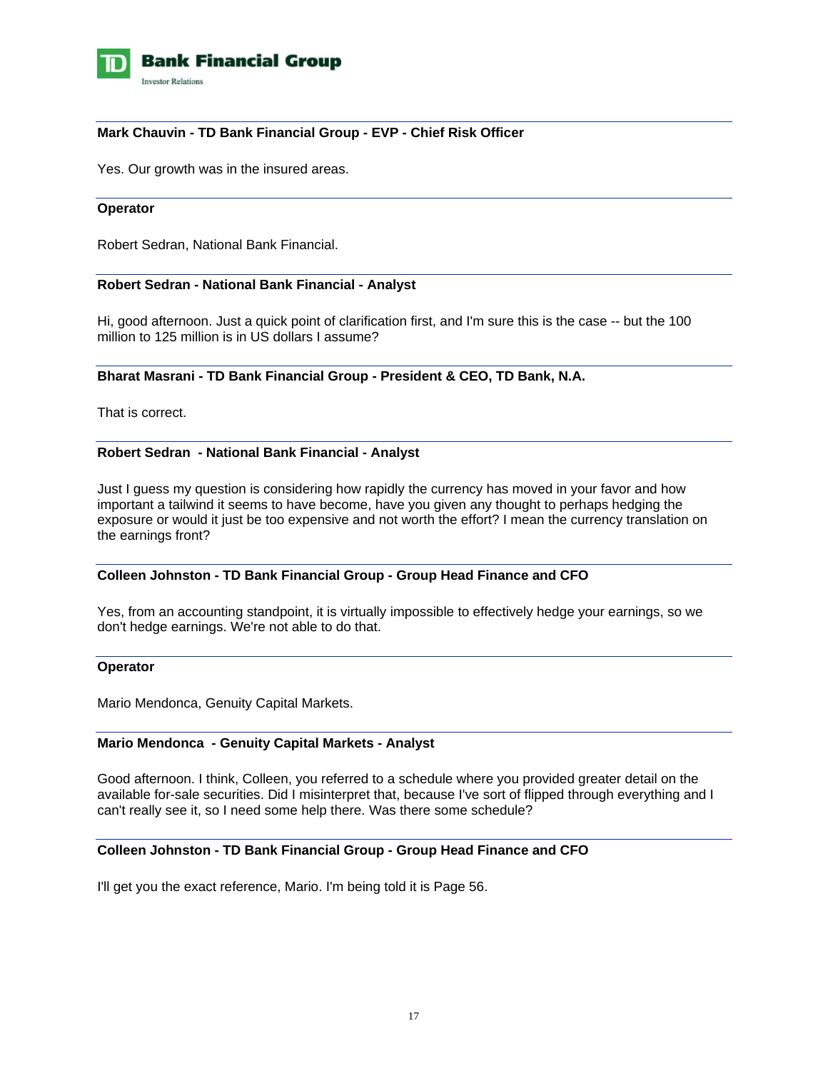

# **Mark Chauvin - TD Bank Financial Group - EVP - Chief Risk Officer**

Yes. Our growth was in the insured areas.

### **Operator**

Robert Sedran, National Bank Financial.

### **Robert Sedran - National Bank Financial - Analyst**

Hi, good afternoon. Just a quick point of clarification first, and I'm sure this is the case -- but the 100 million to 125 million is in US dollars I assume?

### **Bharat Masrani - TD Bank Financial Group - President & CEO, TD Bank, N.A.**

That is correct.

### **Robert Sedran - National Bank Financial - Analyst**

Just I guess my question is considering how rapidly the currency has moved in your favor and how important a tailwind it seems to have become, have you given any thought to perhaps hedging the exposure or would it just be too expensive and not worth the effort? I mean the currency translation on the earnings front?

#### **Colleen Johnston - TD Bank Financial Group - Group Head Finance and CFO**

Yes, from an accounting standpoint, it is virtually impossible to effectively hedge your earnings, so we don't hedge earnings. We're not able to do that.

#### **Operator**

Mario Mendonca, Genuity Capital Markets.

### **Mario Mendonca - Genuity Capital Markets - Analyst**

Good afternoon. I think, Colleen, you referred to a schedule where you provided greater detail on the available for-sale securities. Did I misinterpret that, because I've sort of flipped through everything and I can't really see it, so I need some help there. Was there some schedule?

#### **Colleen Johnston - TD Bank Financial Group - Group Head Finance and CFO**

I'll get you the exact reference, Mario. I'm being told it is Page 56.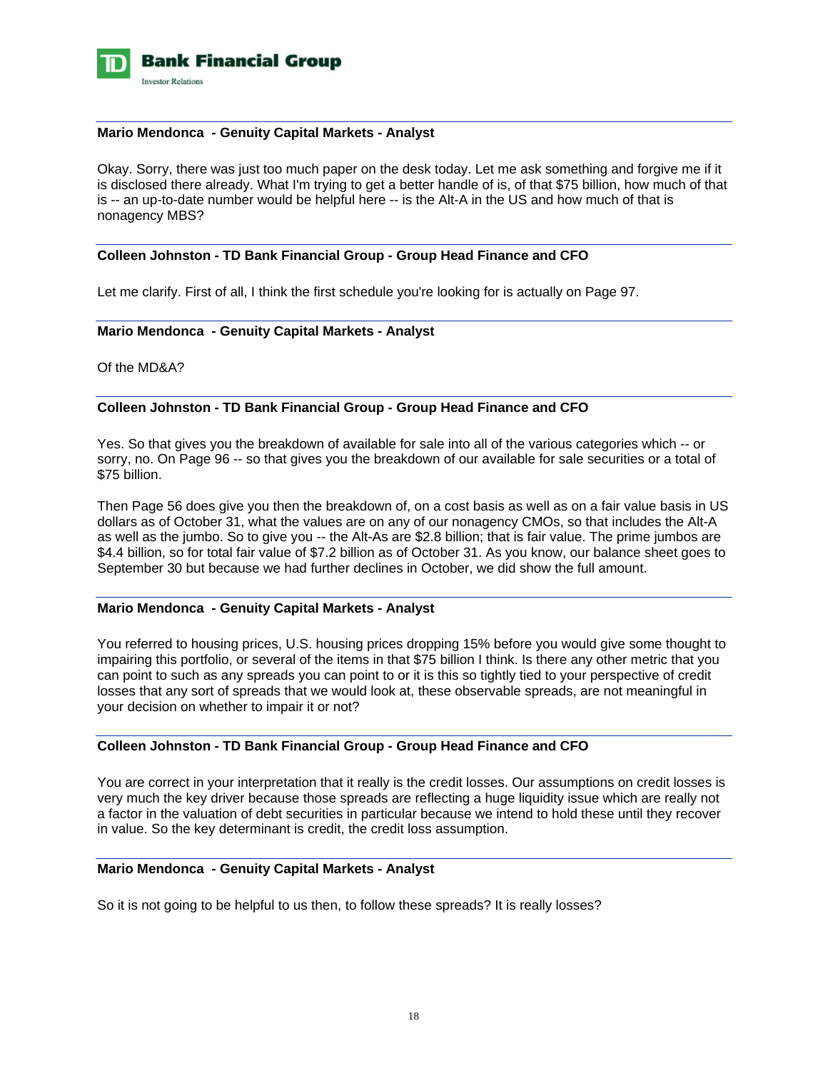

### **Mario Mendonca - Genuity Capital Markets - Analyst**

Okay. Sorry, there was just too much paper on the desk today. Let me ask something and forgive me if it is disclosed there already. What I'm trying to get a better handle of is, of that \$75 billion, how much of that is -- an up-to-date number would be helpful here -- is the Alt-A in the US and how much of that is nonagency MBS?

### **Colleen Johnston - TD Bank Financial Group - Group Head Finance and CFO**

Let me clarify. First of all, I think the first schedule you're looking for is actually on Page 97.

### **Mario Mendonca - Genuity Capital Markets - Analyst**

Of the MD&A?

### **Colleen Johnston - TD Bank Financial Group - Group Head Finance and CFO**

Yes. So that gives you the breakdown of available for sale into all of the various categories which -- or sorry, no. On Page 96 -- so that gives you the breakdown of our available for sale securities or a total of \$75 billion.

Then Page 56 does give you then the breakdown of, on a cost basis as well as on a fair value basis in US dollars as of October 31, what the values are on any of our nonagency CMOs, so that includes the Alt-A as well as the jumbo. So to give you -- the Alt-As are \$2.8 billion; that is fair value. The prime jumbos are \$4.4 billion, so for total fair value of \$7.2 billion as of October 31. As you know, our balance sheet goes to September 30 but because we had further declines in October, we did show the full amount.

# **Mario Mendonca - Genuity Capital Markets - Analyst**

You referred to housing prices, U.S. housing prices dropping 15% before you would give some thought to impairing this portfolio, or several of the items in that \$75 billion I think. Is there any other metric that you can point to such as any spreads you can point to or it is this so tightly tied to your perspective of credit losses that any sort of spreads that we would look at, these observable spreads, are not meaningful in your decision on whether to impair it or not?

# **Colleen Johnston - TD Bank Financial Group - Group Head Finance and CFO**

You are correct in your interpretation that it really is the credit losses. Our assumptions on credit losses is very much the key driver because those spreads are reflecting a huge liquidity issue which are really not a factor in the valuation of debt securities in particular because we intend to hold these until they recover in value. So the key determinant is credit, the credit loss assumption.

#### **Mario Mendonca - Genuity Capital Markets - Analyst**

So it is not going to be helpful to us then, to follow these spreads? It is really losses?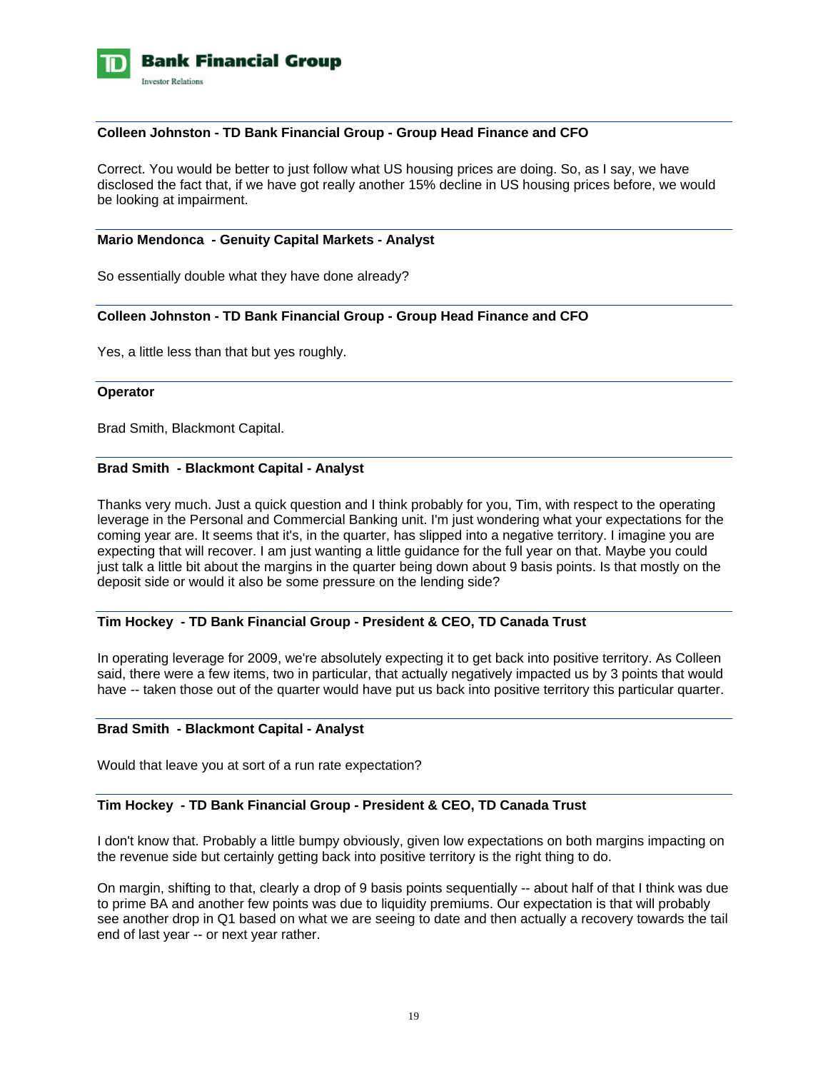

### **Colleen Johnston - TD Bank Financial Group - Group Head Finance and CFO**

Correct. You would be better to just follow what US housing prices are doing. So, as I say, we have disclosed the fact that, if we have got really another 15% decline in US housing prices before, we would be looking at impairment.

#### **Mario Mendonca - Genuity Capital Markets - Analyst**

So essentially double what they have done already?

### **Colleen Johnston - TD Bank Financial Group - Group Head Finance and CFO**

Yes, a little less than that but yes roughly.

#### **Operator**

Brad Smith, Blackmont Capital.

### **Brad Smith - Blackmont Capital - Analyst**

Thanks very much. Just a quick question and I think probably for you, Tim, with respect to the operating leverage in the Personal and Commercial Banking unit. I'm just wondering what your expectations for the coming year are. It seems that it's, in the quarter, has slipped into a negative territory. I imagine you are expecting that will recover. I am just wanting a little guidance for the full year on that. Maybe you could just talk a little bit about the margins in the quarter being down about 9 basis points. Is that mostly on the deposit side or would it also be some pressure on the lending side?

#### **Tim Hockey - TD Bank Financial Group - President & CEO, TD Canada Trust**

In operating leverage for 2009, we're absolutely expecting it to get back into positive territory. As Colleen said, there were a few items, two in particular, that actually negatively impacted us by 3 points that would have -- taken those out of the quarter would have put us back into positive territory this particular quarter.

#### **Brad Smith - Blackmont Capital - Analyst**

Would that leave you at sort of a run rate expectation?

# **Tim Hockey - TD Bank Financial Group - President & CEO, TD Canada Trust**

I don't know that. Probably a little bumpy obviously, given low expectations on both margins impacting on the revenue side but certainly getting back into positive territory is the right thing to do.

On margin, shifting to that, clearly a drop of 9 basis points sequentially -- about half of that I think was due to prime BA and another few points was due to liquidity premiums. Our expectation is that will probably see another drop in Q1 based on what we are seeing to date and then actually a recovery towards the tail end of last year -- or next year rather.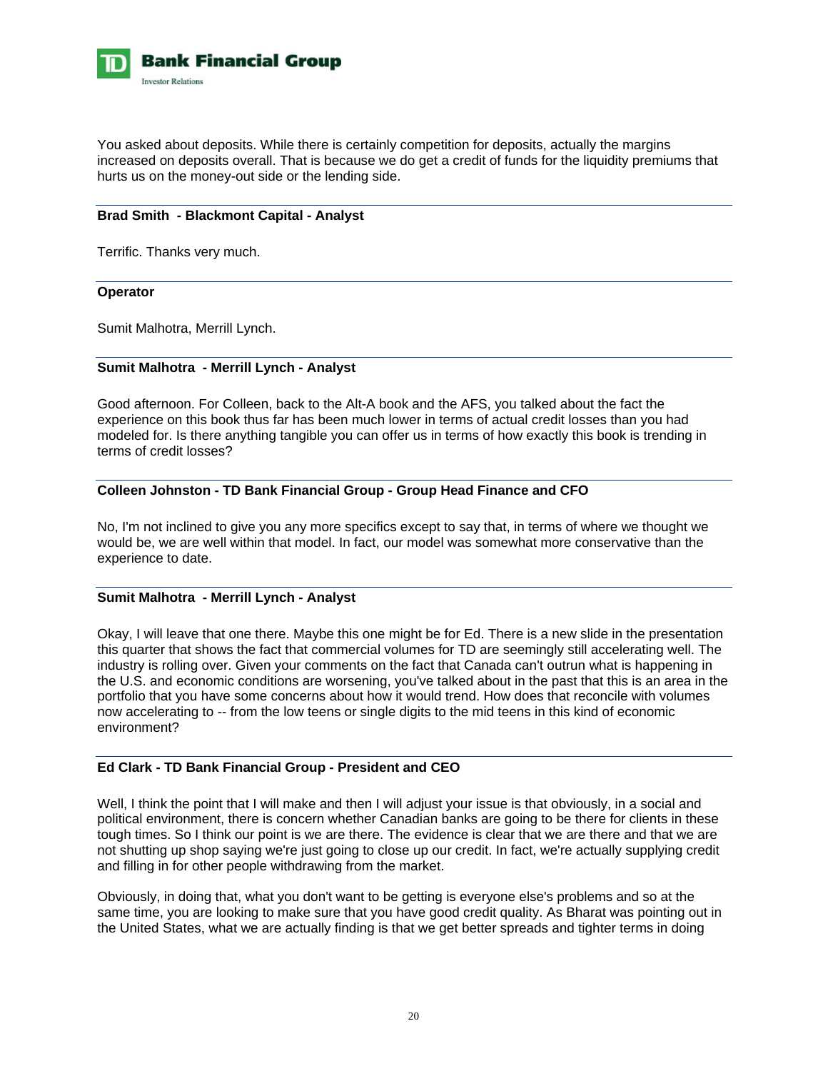

You asked about deposits. While there is certainly competition for deposits, actually the margins increased on deposits overall. That is because we do get a credit of funds for the liquidity premiums that hurts us on the money-out side or the lending side.

# **Brad Smith - Blackmont Capital - Analyst**

Terrific. Thanks very much.

#### **Operator**

Sumit Malhotra, Merrill Lynch.

### **Sumit Malhotra - Merrill Lynch - Analyst**

Good afternoon. For Colleen, back to the Alt-A book and the AFS, you talked about the fact the experience on this book thus far has been much lower in terms of actual credit losses than you had modeled for. Is there anything tangible you can offer us in terms of how exactly this book is trending in terms of credit losses?

### **Colleen Johnston - TD Bank Financial Group - Group Head Finance and CFO**

No, I'm not inclined to give you any more specifics except to say that, in terms of where we thought we would be, we are well within that model. In fact, our model was somewhat more conservative than the experience to date.

#### **Sumit Malhotra - Merrill Lynch - Analyst**

Okay, I will leave that one there. Maybe this one might be for Ed. There is a new slide in the presentation this quarter that shows the fact that commercial volumes for TD are seemingly still accelerating well. The industry is rolling over. Given your comments on the fact that Canada can't outrun what is happening in the U.S. and economic conditions are worsening, you've talked about in the past that this is an area in the portfolio that you have some concerns about how it would trend. How does that reconcile with volumes now accelerating to -- from the low teens or single digits to the mid teens in this kind of economic environment?

# **Ed Clark - TD Bank Financial Group - President and CEO**

Well, I think the point that I will make and then I will adjust your issue is that obviously, in a social and political environment, there is concern whether Canadian banks are going to be there for clients in these tough times. So I think our point is we are there. The evidence is clear that we are there and that we are not shutting up shop saying we're just going to close up our credit. In fact, we're actually supplying credit and filling in for other people withdrawing from the market.

Obviously, in doing that, what you don't want to be getting is everyone else's problems and so at the same time, you are looking to make sure that you have good credit quality. As Bharat was pointing out in the United States, what we are actually finding is that we get better spreads and tighter terms in doing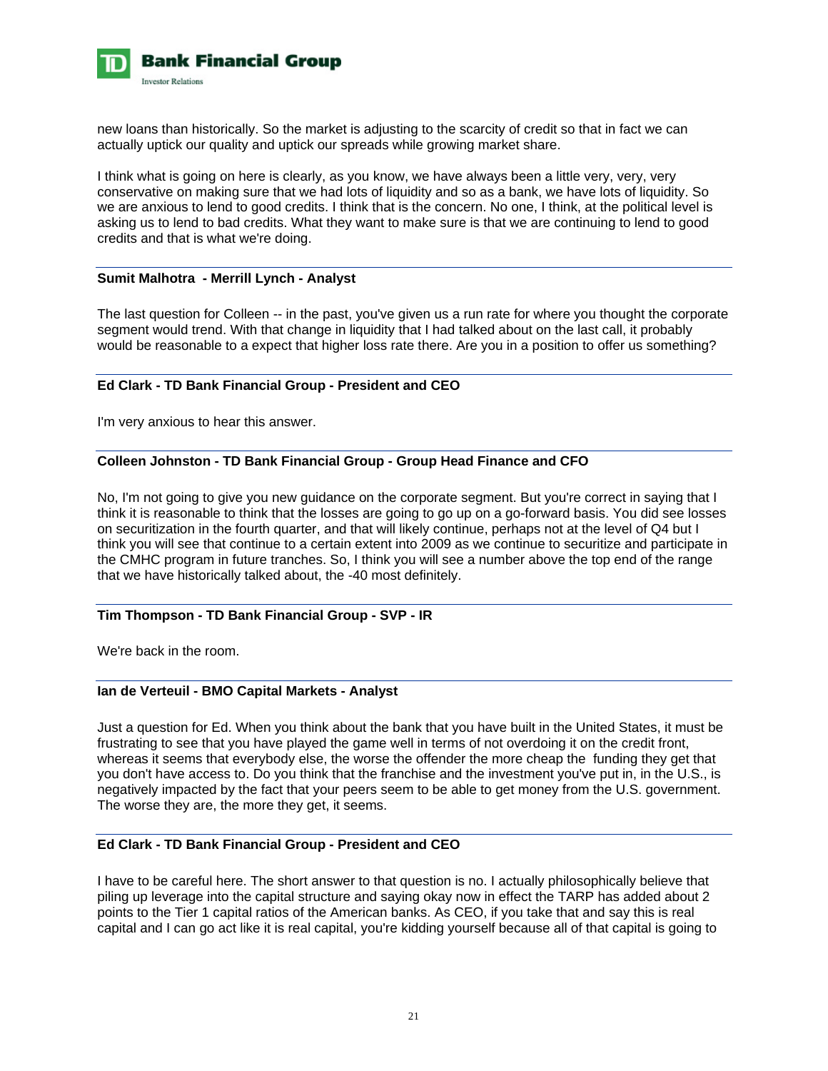

new loans than historically. So the market is adjusting to the scarcity of credit so that in fact we can actually uptick our quality and uptick our spreads while growing market share.

I think what is going on here is clearly, as you know, we have always been a little very, very, very conservative on making sure that we had lots of liquidity and so as a bank, we have lots of liquidity. So we are anxious to lend to good credits. I think that is the concern. No one, I think, at the political level is asking us to lend to bad credits. What they want to make sure is that we are continuing to lend to good credits and that is what we're doing.

### **Sumit Malhotra - Merrill Lynch - Analyst**

The last question for Colleen -- in the past, you've given us a run rate for where you thought the corporate segment would trend. With that change in liquidity that I had talked about on the last call, it probably would be reasonable to a expect that higher loss rate there. Are you in a position to offer us something?

### **Ed Clark - TD Bank Financial Group - President and CEO**

I'm very anxious to hear this answer.

# **Colleen Johnston - TD Bank Financial Group - Group Head Finance and CFO**

No, I'm not going to give you new guidance on the corporate segment. But you're correct in saying that I think it is reasonable to think that the losses are going to go up on a go-forward basis. You did see losses on securitization in the fourth quarter, and that will likely continue, perhaps not at the level of Q4 but I think you will see that continue to a certain extent into 2009 as we continue to securitize and participate in the CMHC program in future tranches. So, I think you will see a number above the top end of the range that we have historically talked about, the -40 most definitely.

#### **Tim Thompson - TD Bank Financial Group - SVP - IR**

We're back in the room.

### **Ian de Verteuil - BMO Capital Markets - Analyst**

Just a question for Ed. When you think about the bank that you have built in the United States, it must be frustrating to see that you have played the game well in terms of not overdoing it on the credit front, whereas it seems that everybody else, the worse the offender the more cheap the funding they get that you don't have access to. Do you think that the franchise and the investment you've put in, in the U.S., is negatively impacted by the fact that your peers seem to be able to get money from the U.S. government. The worse they are, the more they get, it seems.

#### **Ed Clark - TD Bank Financial Group - President and CEO**

I have to be careful here. The short answer to that question is no. I actually philosophically believe that piling up leverage into the capital structure and saying okay now in effect the TARP has added about 2 points to the Tier 1 capital ratios of the American banks. As CEO, if you take that and say this is real capital and I can go act like it is real capital, you're kidding yourself because all of that capital is going to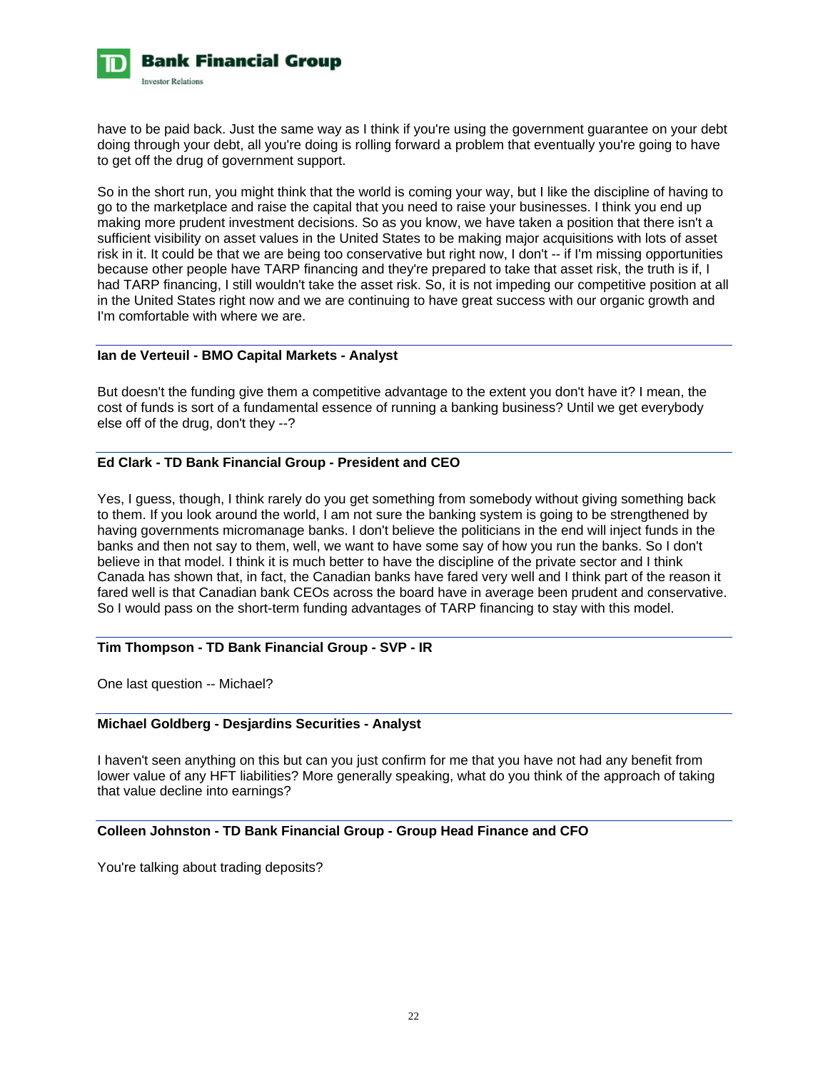

have to be paid back. Just the same way as I think if you're using the government guarantee on your debt doing through your debt, all you're doing is rolling forward a problem that eventually you're going to have to get off the drug of government support.

So in the short run, you might think that the world is coming your way, but I like the discipline of having to go to the marketplace and raise the capital that you need to raise your businesses. I think you end up making more prudent investment decisions. So as you know, we have taken a position that there isn't a sufficient visibility on asset values in the United States to be making major acquisitions with lots of asset risk in it. It could be that we are being too conservative but right now, I don't -- if I'm missing opportunities because other people have TARP financing and they're prepared to take that asset risk, the truth is if, I had TARP financing, I still wouldn't take the asset risk. So, it is not impeding our competitive position at all in the United States right now and we are continuing to have great success with our organic growth and I'm comfortable with where we are.

### **Ian de Verteuil - BMO Capital Markets - Analyst**

But doesn't the funding give them a competitive advantage to the extent you don't have it? I mean, the cost of funds is sort of a fundamental essence of running a banking business? Until we get everybody else off of the drug, don't they --?

# **Ed Clark - TD Bank Financial Group - President and CEO**

Yes, I guess, though, I think rarely do you get something from somebody without giving something back to them. If you look around the world, I am not sure the banking system is going to be strengthened by having governments micromanage banks. I don't believe the politicians in the end will inject funds in the banks and then not say to them, well, we want to have some say of how you run the banks. So I don't believe in that model. I think it is much better to have the discipline of the private sector and I think Canada has shown that, in fact, the Canadian banks have fared very well and I think part of the reason it fared well is that Canadian bank CEOs across the board have in average been prudent and conservative. So I would pass on the short-term funding advantages of TARP financing to stay with this model.

# **Tim Thompson - TD Bank Financial Group - SVP - IR**

One last question -- Michael?

### **Michael Goldberg - Desjardins Securities - Analyst**

I haven't seen anything on this but can you just confirm for me that you have not had any benefit from lower value of any HFT liabilities? More generally speaking, what do you think of the approach of taking that value decline into earnings?

### **Colleen Johnston - TD Bank Financial Group - Group Head Finance and CFO**

You're talking about trading deposits?